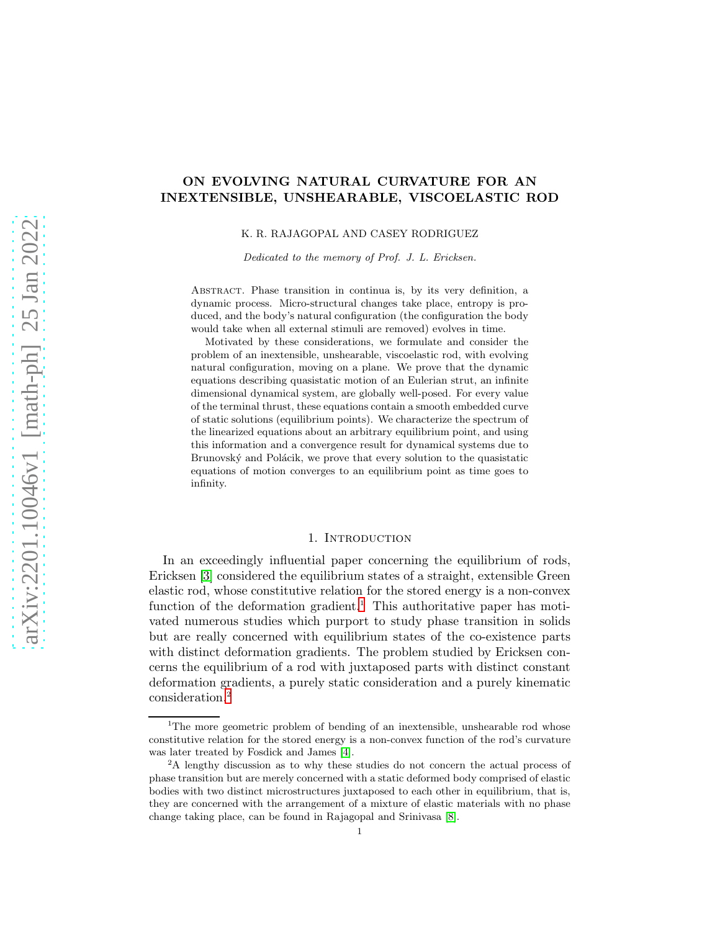# ON EVOLVING NATURAL CURVATURE FOR AN INEXTENSIBLE, UNSHEARABLE, VISCOELASTIC ROD

K. R. RAJAGOPAL AND CASEY RODRIGUEZ

Dedicated to the memory of Prof. J. L. Ericksen.

Abstract. Phase transition in continua is, by its very definition, a dynamic process. Micro-structural changes take place, entropy is produced, and the body's natural configuration (the configuration the body would take when all external stimuli are removed) evolves in time.

Motivated by these considerations, we formulate and consider the problem of an inextensible, unshearable, viscoelastic rod, with evolving natural configuration, moving on a plane. We prove that the dynamic equations describing quasistatic motion of an Eulerian strut, an infinite dimensional dynamical system, are globally well-posed. For every value of the terminal thrust, these equations contain a smooth embedded curve of static solutions (equilibrium points). We characterize the spectrum of the linearized equations about an arbitrary equilibrium point, and using this information and a convergence result for dynamical systems due to Brunovský and Polácik, we prove that every solution to the quasistatic equations of motion converges to an equilibrium point as time goes to infinity.

### 1. INTRODUCTION

In an exceedingly influential paper concerning the equilibrium of rods, Ericksen [\[3\]](#page-20-0) considered the equilibrium states of a straight, extensible Green elastic rod, whose constitutive relation for the stored energy is a non-convex function of the deformation gradient.<sup>1</sup> This authoritative paper has motivated numerous studies which purport to study phase transition in solids but are really concerned with equilibrium states of the co-existence parts with distinct deformation gradients. The problem studied by Ericksen concerns the equilibrium of a rod with juxtaposed parts with distinct constant deformation gradients, a purely static consideration and a purely kinematic consideration.<sup>2</sup>

<sup>&</sup>lt;sup>1</sup>The more geometric problem of bending of an inextensible, unshearable rod whose constitutive relation for the stored energy is a non-convex function of the rod's curvature was later treated by Fosdick and James [\[4\]](#page-20-1).

<sup>&</sup>lt;sup>2</sup>A lengthy discussion as to why these studies do not concern the actual process of phase transition but are merely concerned with a static deformed body comprised of elastic bodies with two distinct microstructures juxtaposed to each other in equilibrium, that is, they are concerned with the arrangement of a mixture of elastic materials with no phase change taking place, can be found in Rajagopal and Srinivasa [\[8\]](#page-20-2).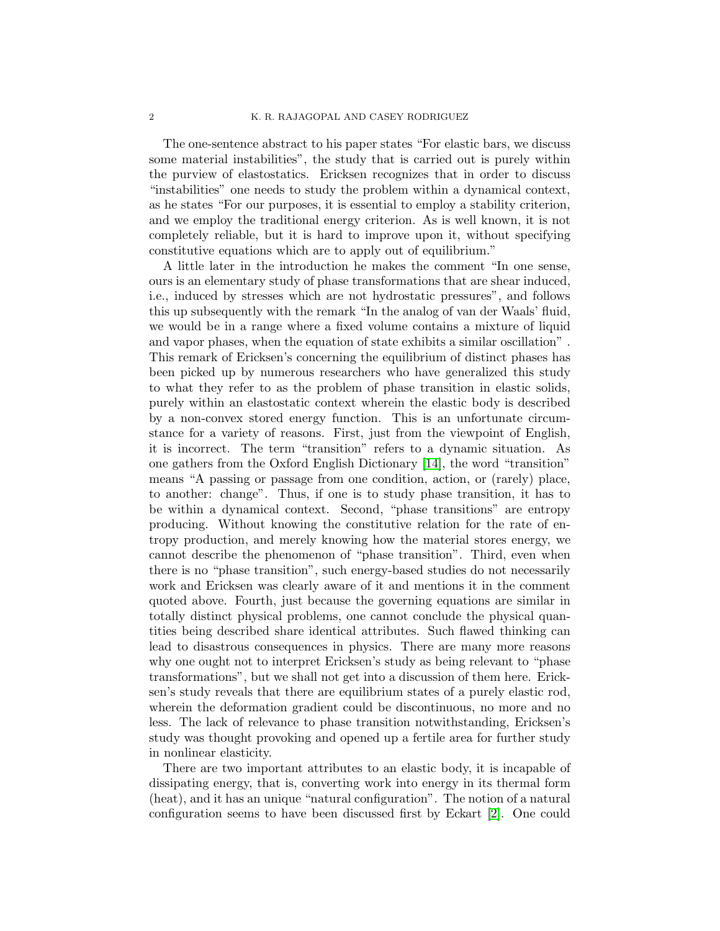The one-sentence abstract to his paper states "For elastic bars, we discuss some material instabilities", the study that is carried out is purely within the purview of elastostatics. Ericksen recognizes that in order to discuss "instabilities" one needs to study the problem within a dynamical context, as he states "For our purposes, it is essential to employ a stability criterion, and we employ the traditional energy criterion. As is well known, it is not completely reliable, but it is hard to improve upon it, without specifying constitutive equations which are to apply out of equilibrium."

A little later in the introduction he makes the comment "In one sense, ours is an elementary study of phase transformations that are shear induced, i.e., induced by stresses which are not hydrostatic pressures", and follows this up subsequently with the remark "In the analog of van der Waals' fluid, we would be in a range where a fixed volume contains a mixture of liquid and vapor phases, when the equation of state exhibits a similar oscillation" . This remark of Ericksen's concerning the equilibrium of distinct phases has been picked up by numerous researchers who have generalized this study to what they refer to as the problem of phase transition in elastic solids, purely within an elastostatic context wherein the elastic body is described by a non-convex stored energy function. This is an unfortunate circumstance for a variety of reasons. First, just from the viewpoint of English, it is incorrect. The term "transition" refers to a dynamic situation. As one gathers from the Oxford English Dictionary [\[14\]](#page-20-3), the word "transition" means "A passing or passage from one condition, action, or (rarely) place, to another: change". Thus, if one is to study phase transition, it has to be within a dynamical context. Second, "phase transitions" are entropy producing. Without knowing the constitutive relation for the rate of entropy production, and merely knowing how the material stores energy, we cannot describe the phenomenon of "phase transition". Third, even when there is no "phase transition", such energy-based studies do not necessarily work and Ericksen was clearly aware of it and mentions it in the comment quoted above. Fourth, just because the governing equations are similar in totally distinct physical problems, one cannot conclude the physical quantities being described share identical attributes. Such flawed thinking can lead to disastrous consequences in physics. There are many more reasons why one ought not to interpret Ericksen's study as being relevant to "phase transformations", but we shall not get into a discussion of them here. Ericksen's study reveals that there are equilibrium states of a purely elastic rod, wherein the deformation gradient could be discontinuous, no more and no less. The lack of relevance to phase transition notwithstanding, Ericksen's study was thought provoking and opened up a fertile area for further study in nonlinear elasticity.

There are two important attributes to an elastic body, it is incapable of dissipating energy, that is, converting work into energy in its thermal form (heat), and it has an unique "natural configuration". The notion of a natural configuration seems to have been discussed first by Eckart [\[2\]](#page-20-4). One could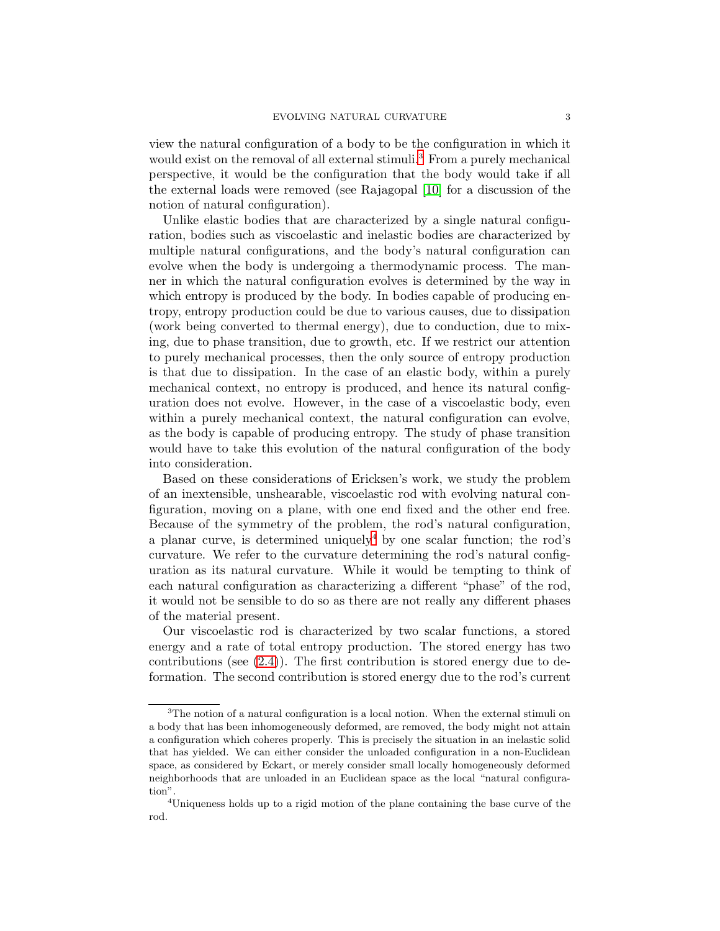view the natural configuration of a body to be the configuration in which it would exist on the removal of all external stimuli.<sup>3</sup> From a purely mechanical perspective, it would be the configuration that the body would take if all the external loads were removed (see Rajagopal [\[10\]](#page-20-5) for a discussion of the notion of natural configuration).

Unlike elastic bodies that are characterized by a single natural configuration, bodies such as viscoelastic and inelastic bodies are characterized by multiple natural configurations, and the body's natural configuration can evolve when the body is undergoing a thermodynamic process. The manner in which the natural configuration evolves is determined by the way in which entropy is produced by the body. In bodies capable of producing entropy, entropy production could be due to various causes, due to dissipation (work being converted to thermal energy), due to conduction, due to mixing, due to phase transition, due to growth, etc. If we restrict our attention to purely mechanical processes, then the only source of entropy production is that due to dissipation. In the case of an elastic body, within a purely mechanical context, no entropy is produced, and hence its natural configuration does not evolve. However, in the case of a viscoelastic body, even within a purely mechanical context, the natural configuration can evolve, as the body is capable of producing entropy. The study of phase transition would have to take this evolution of the natural configuration of the body into consideration.

Based on these considerations of Ericksen's work, we study the problem of an inextensible, unshearable, viscoelastic rod with evolving natural configuration, moving on a plane, with one end fixed and the other end free. Because of the symmetry of the problem, the rod's natural configuration, a planar curve, is determined uniquely<sup>4</sup> by one scalar function; the rod's curvature. We refer to the curvature determining the rod's natural configuration as its natural curvature. While it would be tempting to think of each natural configuration as characterizing a different "phase" of the rod, it would not be sensible to do so as there are not really any different phases of the material present.

Our viscoelastic rod is characterized by two scalar functions, a stored energy and a rate of total entropy production. The stored energy has two contributions (see  $(2.4)$ ). The first contribution is stored energy due to deformation. The second contribution is stored energy due to the rod's current

<sup>&</sup>lt;sup>3</sup>The notion of a natural configuration is a local notion. When the external stimuli on a body that has been inhomogeneously deformed, are removed, the body might not attain a configuration which coheres properly. This is precisely the situation in an inelastic solid that has yielded. We can either consider the unloaded configuration in a non-Euclidean space, as considered by Eckart, or merely consider small locally homogeneously deformed neighborhoods that are unloaded in an Euclidean space as the local "natural configuration".

<sup>4</sup>Uniqueness holds up to a rigid motion of the plane containing the base curve of the rod.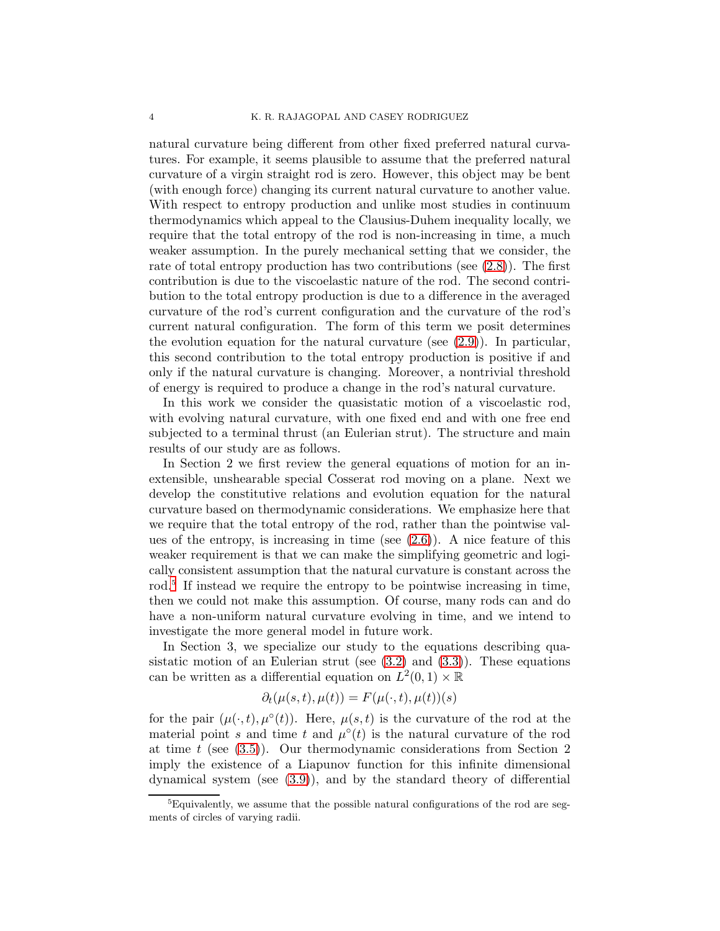natural curvature being different from other fixed preferred natural curvatures. For example, it seems plausible to assume that the preferred natural curvature of a virgin straight rod is zero. However, this object may be bent (with enough force) changing its current natural curvature to another value. With respect to entropy production and unlike most studies in continuum thermodynamics which appeal to the Clausius-Duhem inequality locally, we require that the total entropy of the rod is non-increasing in time, a much weaker assumption. In the purely mechanical setting that we consider, the rate of total entropy production has two contributions (see [\(2.8\)](#page-7-0)). The first contribution is due to the viscoelastic nature of the rod. The second contribution to the total entropy production is due to a difference in the averaged curvature of the rod's current configuration and the curvature of the rod's current natural configuration. The form of this term we posit determines the evolution equation for the natural curvature (see  $(2.9)$ ). In particular, this second contribution to the total entropy production is positive if and only if the natural curvature is changing. Moreover, a nontrivial threshold of energy is required to produce a change in the rod's natural curvature.

In this work we consider the quasistatic motion of a viscoelastic rod, with evolving natural curvature, with one fixed end and with one free end subjected to a terminal thrust (an Eulerian strut). The structure and main results of our study are as follows.

In Section 2 we first review the general equations of motion for an inextensible, unshearable special Cosserat rod moving on a plane. Next we develop the constitutive relations and evolution equation for the natural curvature based on thermodynamic considerations. We emphasize here that we require that the total entropy of the rod, rather than the pointwise values of the entropy, is increasing in time (see  $(2.6)$ ). A nice feature of this weaker requirement is that we can make the simplifying geometric and logically consistent assumption that the natural curvature is constant across the rod.<sup>5</sup> If instead we require the entropy to be pointwise increasing in time, then we could not make this assumption. Of course, many rods can and do have a non-uniform natural curvature evolving in time, and we intend to investigate the more general model in future work.

In Section 3, we specialize our study to the equations describing quasistatic motion of an Eulerian strut (see  $(3.2)$  and  $(3.3)$ ). These equations can be written as a differential equation on  $L^2(0,1) \times \mathbb{R}$ 

$$
\partial_t(\mu(s,t),\mu(t)) = F(\mu(\cdot,t),\mu(t))(s)
$$

for the pair  $(\mu(\cdot,t), \mu^{\circ}(t))$ . Here,  $\mu(s,t)$  is the curvature of the rod at the material point s and time t and  $\mu^{\circ}(t)$  is the natural curvature of the rod at time  $t$  (see  $(3.5)$ ). Our thermodynamic considerations from Section 2 imply the existence of a Liapunov function for this infinite dimensional dynamical system (see [\(3.9\)](#page-11-0)), and by the standard theory of differential

<sup>&</sup>lt;sup>5</sup>Equivalently, we assume that the possible natural configurations of the rod are segments of circles of varying radii.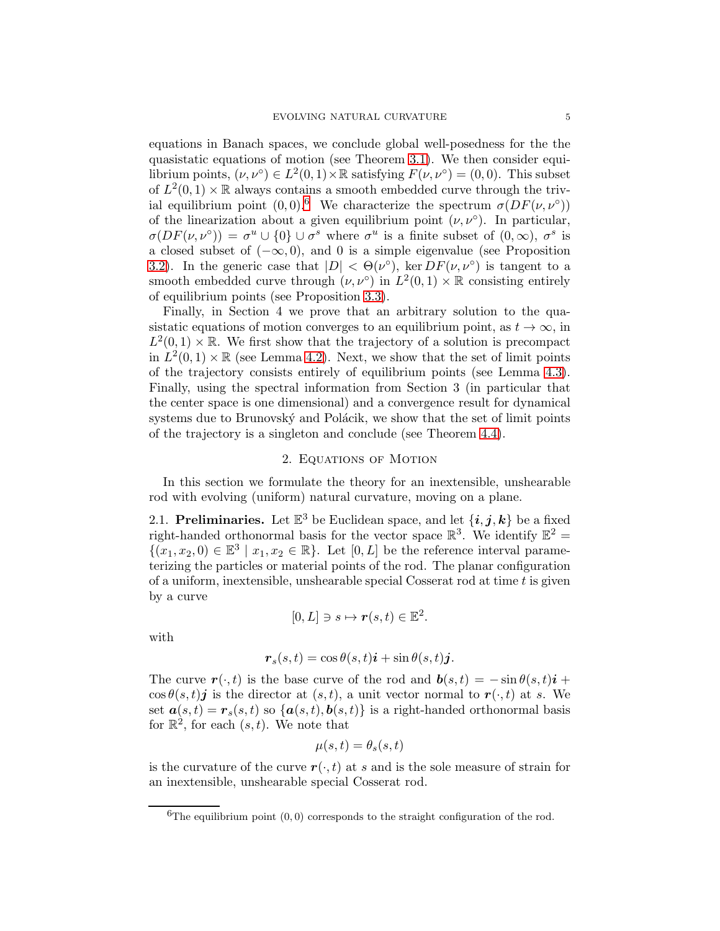equations in Banach spaces, we conclude global well-posedness for the the quasistatic equations of motion (see Theorem [3.1\)](#page-10-0). We then consider equilibrium points,  $(\nu, \nu^{\circ}) \in L^2(0,1) \times \mathbb{R}$  satisfying  $F(\nu, \nu^{\circ}) = (0,0)$ . This subset of  $L^2(0,1) \times \mathbb{R}$  always contains a smooth embedded curve through the trivial equilibrium point  $(0,0)$ .<sup>6</sup> We characterize the spectrum  $\sigma(DF(\nu,\nu^{\circ}))$ of the linearization about a given equilibrium point  $(\nu, \nu^{\circ})$ . In particular,  $\sigma(DF(\nu,\nu^{\circ})) = \sigma^u \cup \{0\} \cup \sigma^s$  where  $\sigma^u$  is a finite subset of  $(0,\infty), \sigma^s$  is a closed subset of  $(-\infty, 0)$ , and 0 is a simple eigenvalue (see Proposition [3.2\)](#page-13-0). In the generic case that  $|D| < \Theta(\nu^{\circ})$ , ker  $DF(\nu, \nu^{\circ})$  is tangent to a smooth embedded curve through  $(\nu, \nu^{\circ})$  in  $L^2(0,1) \times \mathbb{R}$  consisting entirely of equilibrium points (see Proposition [3.3\)](#page-14-0).

Finally, in Section 4 we prove that an arbitrary solution to the quasistatic equations of motion converges to an equilibrium point, as  $t \to \infty$ , in  $L^2(0,1) \times \mathbb{R}$ . We first show that the trajectory of a solution is precompact in  $L^2(0,1) \times \mathbb{R}$  (see Lemma [4.2\)](#page-16-0). Next, we show that the set of limit points of the trajectory consists entirely of equilibrium points (see Lemma [4.3\)](#page-17-0). Finally, using the spectral information from Section 3 (in particular that the center space is one dimensional) and a convergence result for dynamical systems due to Brunovský and Polácik, we show that the set of limit points of the trajectory is a singleton and conclude (see Theorem [4.4\)](#page-18-0).

# 2. Equations of Motion

In this section we formulate the theory for an inextensible, unshearable rod with evolving (uniform) natural curvature, moving on a plane.

2.1. Preliminaries. Let  $\mathbb{E}^3$  be Euclidean space, and let  $\{i, j, k\}$  be a fixed right-handed orthonormal basis for the vector space  $\mathbb{R}^3$ . We identify  $\mathbb{E}^2$  =  $\{(x_1, x_2, 0) \in \mathbb{E}^3 \mid x_1, x_2 \in \mathbb{R}\}.$  Let  $[0, L]$  be the reference interval parameterizing the particles or material points of the rod. The planar configuration of a uniform, inextensible, unshearable special Cosserat rod at time  $t$  is given by a curve

$$
[0,L] \ni s \mapsto \boldsymbol{r}(s,t) \in \mathbb{E}^2.
$$

with

$$
\boldsymbol{r}_s(s,t) = \cos \theta(s,t)\boldsymbol{i} + \sin \theta(s,t)\boldsymbol{j}.
$$

The curve  $\mathbf{r}(\cdot, t)$  is the base curve of the rod and  $\mathbf{b}(s, t) = -\sin \theta(s, t)\mathbf{i} +$  $\cos \theta(s,t)$ *j* is the director at  $(s,t)$ , a unit vector normal to  $r(\cdot,t)$  at *s*. We set  $\mathbf{a}(s,t) = \mathbf{r}_s(s,t)$  so  $\{\mathbf{a}(s,t), \mathbf{b}(s,t)\}\$ is a right-handed orthonormal basis for  $\mathbb{R}^2$ , for each  $(s, t)$ . We note that

$$
\mu(s,t) = \theta_s(s,t)
$$

is the curvature of the curve  $r(\cdot, t)$  at s and is the sole measure of strain for an inextensible, unshearable special Cosserat rod.

<sup>&</sup>lt;sup>6</sup>The equilibrium point  $(0, 0)$  corresponds to the straight configuration of the rod.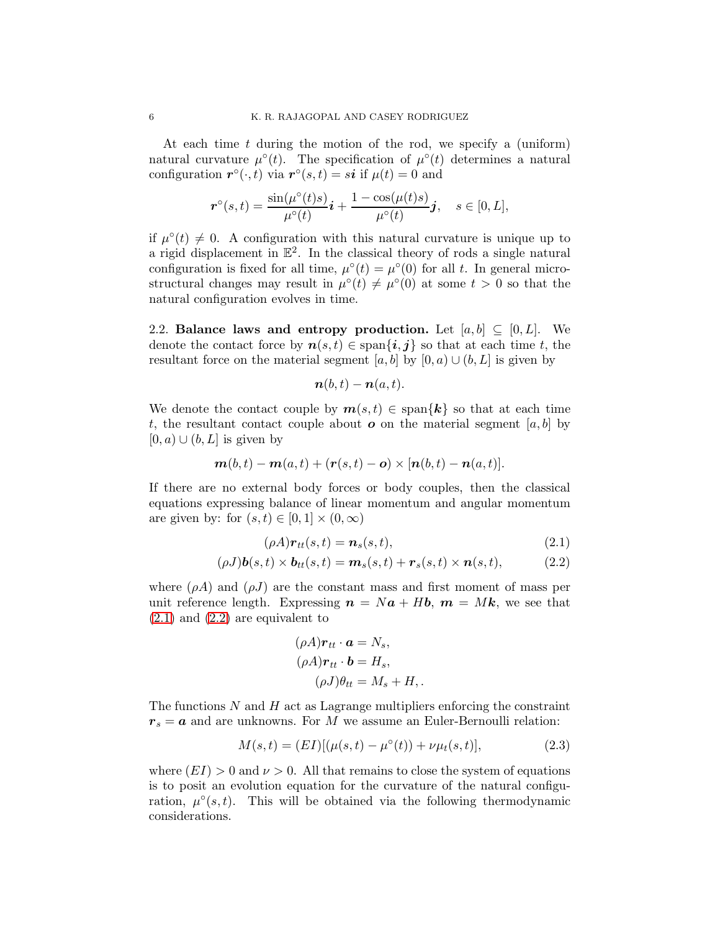At each time  $t$  during the motion of the rod, we specify a (uniform) natural curvature  $\mu^{\circ}(t)$ . The specification of  $\mu^{\circ}(t)$  determines a natural configuration  $r^{\circ}(\cdot,t)$  via  $r^{\circ}(s,t) = s\mathbf{i}$  if  $\mu(t) = 0$  and

$$
\boldsymbol{r}^{\circ}(s,t)=\frac{\sin(\mu^{\circ}(t)s)}{\mu^{\circ}(t)}\boldsymbol{i}+\frac{1-\cos(\mu(t)s)}{\mu^{\circ}(t)}\boldsymbol{j},\quad s\in[0,L],
$$

if  $\mu^{\circ}(t) \neq 0$ . A configuration with this natural curvature is unique up to a rigid displacement in  $\mathbb{E}^2$ . In the classical theory of rods a single natural configuration is fixed for all time,  $\mu^{\circ}(t) = \mu^{\circ}(0)$  for all t. In general microstructural changes may result in  $\mu^{\circ}(t) \neq \mu^{\circ}(0)$  at some  $t > 0$  so that the natural configuration evolves in time.

2.2. Balance laws and entropy production. Let  $[a, b] \subseteq [0, L]$ . We denote the contact force by  $n(s,t) \in \text{span}\{i, j\}$  so that at each time t, the resultant force on the material segment [a, b] by  $[0, a) \cup (b, L]$  is given by

$$
\boldsymbol{n}(b,t)-\boldsymbol{n}(a,t).
$$

We denote the contact couple by  $m(s,t) \in \text{span}\{k\}$  so that at each time t, the resultant contact couple about  $\boldsymbol{o}$  on the material segment  $[a, b]$  by  $[0, a) \cup (b, L]$  is given by

$$
\boldsymbol{m}(b,t)-\boldsymbol{m}(a,t)+(\boldsymbol{r}(s,t)-\boldsymbol{o})\times[\boldsymbol{n}(b,t)-\boldsymbol{n}(a,t)].
$$

If there are no external body forces or body couples, then the classical equations expressing balance of linear momentum and angular momentum are given by: for  $(s, t) \in [0, 1] \times (0, \infty)$ 

$$
(\rho A)\boldsymbol{r}_{tt}(s,t)=\boldsymbol{n}_s(s,t),\tag{2.1}
$$

$$
(\rho J)\boldsymbol{b}(s,t) \times \boldsymbol{b}_{tt}(s,t) = \boldsymbol{m}_s(s,t) + \boldsymbol{r}_s(s,t) \times \boldsymbol{n}(s,t),
$$
\n(2.2)

where  $(\rho A)$  and  $(\rho J)$  are the constant mass and first moment of mass per unit reference length. Expressing  $n = Na + Hb$ ,  $m = Mk$ , we see that  $(2.1)$  and  $(2.2)$  are equivalent to

<span id="page-5-2"></span><span id="page-5-1"></span><span id="page-5-0"></span>
$$
(\rho A)\mathbf{r}_{tt} \cdot \mathbf{a} = N_s,
$$
  
\n
$$
(\rho A)\mathbf{r}_{tt} \cdot \mathbf{b} = H_s,
$$
  
\n
$$
(\rho J)\theta_{tt} = M_s + H,.
$$

The functions  $N$  and  $H$  act as Lagrange multipliers enforcing the constraint  $r_s = a$  and are unknowns. For M we assume an Euler-Bernoulli relation:

$$
M(s,t) = (EI)[(\mu(s,t) - \mu^{\circ}(t)) + \nu\mu_t(s,t)], \qquad (2.3)
$$

where  $(EI) > 0$  and  $\nu > 0$ . All that remains to close the system of equations is to posit an evolution equation for the curvature of the natural configuration,  $\mu^{\circ}(s,t)$ . This will be obtained via the following thermodynamic considerations.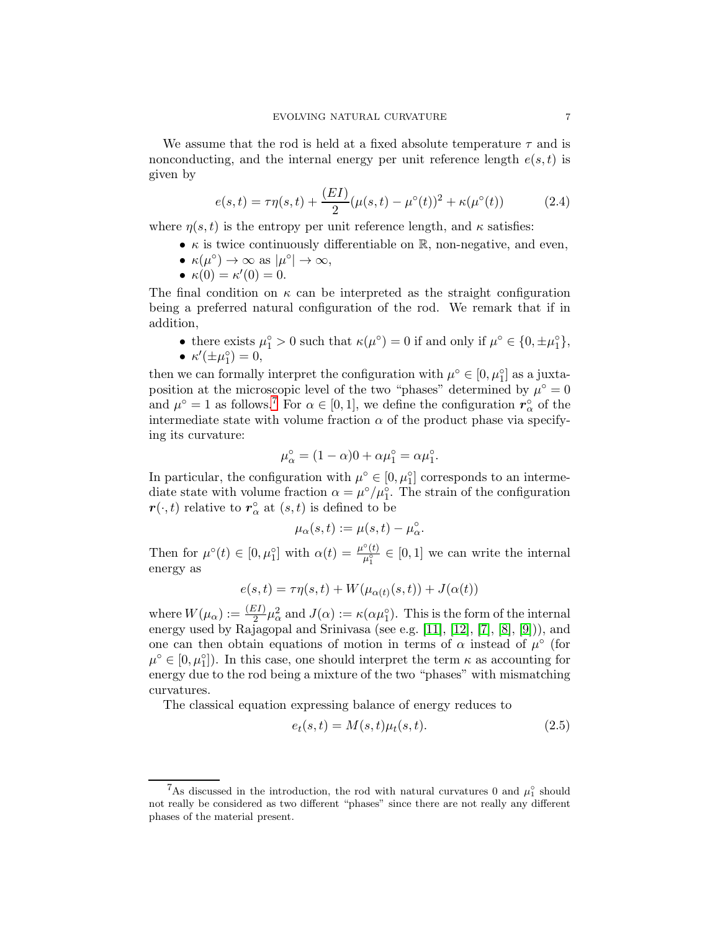We assume that the rod is held at a fixed absolute temperature  $\tau$  and is nonconducting, and the internal energy per unit reference length  $e(s, t)$  is given by

<span id="page-6-0"></span>
$$
e(s,t) = \tau \eta(s,t) + \frac{(EI)}{2} (\mu(s,t) - \mu^{\circ}(t))^2 + \kappa(\mu^{\circ}(t))
$$
 (2.4)

where  $\eta(s,t)$  is the entropy per unit reference length, and  $\kappa$  satisfies:

- $\kappa$  is twice continuously differentiable on  $\mathbb{R}$ , non-negative, and even,
- $\kappa(\mu^{\circ}) \to \infty$  as  $|\mu^{\circ}| \to \infty$ ,
- $\kappa(0) = \kappa'(0) = 0.$

The final condition on  $\kappa$  can be interpreted as the straight configuration being a preferred natural configuration of the rod. We remark that if in addition,

• there exists  $\mu_1^{\circ} > 0$  such that  $\kappa(\mu^{\circ}) = 0$  if and only if  $\mu^{\circ} \in \{0, \pm \mu_1^{\circ}\}$  $^{\circ}_{1}\},$  $\bullet$   $\kappa'(\pm \mu_1^{\circ})$  $_{1}^{\circ}$ ) = 0,

then we can formally interpret the configuration with  $\mu^{\circ} \in [0, \mu_1^{\circ}]$  as a juxtaposition at the microscopic level of the two "phases" determined by  $\mu^{\circ} = 0$ and  $\mu^{\circ} = 1$  as follows.<sup>7</sup> For  $\alpha \in [0, 1]$ , we define the configuration  $r^{\circ}_{\alpha}$  of the intermediate state with volume fraction  $\alpha$  of the product phase via specifying its curvature:

$$
\mu_{\alpha}^{\circ} = (1 - \alpha)0 + \alpha \mu_1^{\circ} = \alpha \mu_1^{\circ}.
$$

In particular, the configuration with  $\mu^{\circ} \in [0, \mu_1^{\circ}]$  corresponds to an intermediate state with volume fraction  $\alpha = \mu^{\circ}/\mu_{1}^{\circ}$ . The strain of the configuration  $\mathbf{r}(\cdot,t)$  relative to  $\mathbf{r}_{\alpha}^{\circ}$  at  $(s,t)$  is defined to be

$$
\mu_{\alpha}(s,t) := \mu(s,t) - \mu_{\alpha}^{\circ}.
$$

Then for  $\mu^{\circ}(t) \in [0, \mu_1^{\circ}]$  with  $\alpha(t) = \frac{\mu^{\circ}(t)}{\mu_1^{\circ}}$  $\frac{(\ell)}{\mu_1^{\circ}} \in [0,1]$  we can write the internal energy as

$$
e(s,t) = \tau \eta(s,t) + W(\mu_{\alpha(t)}(s,t)) + J(\alpha(t))
$$

where  $W(\mu_{\alpha}) := \frac{(EI)}{2} \mu_{\alpha}^2$  and  $J(\alpha) := \kappa(\alpha \mu_1^{\circ})$ . This is the form of the internal energy used by Rajagopal and Srinivasa (see e.g. [\[11\]](#page-20-6), [\[12\]](#page-20-7), [\[7\]](#page-20-8), [\[8\]](#page-20-2), [\[9\]](#page-20-9))), and one can then obtain equations of motion in terms of  $\alpha$  instead of  $\mu^{\circ}$  (for  $\mu^{\circ} \in [0, \mu_1^{\circ}]$ . In this case, one should interpret the term  $\kappa$  as accounting for energy due to the rod being a mixture of the two "phases" with mismatching curvatures.

The classical equation expressing balance of energy reduces to

<span id="page-6-1"></span>
$$
e_t(s,t) = M(s,t)\mu_t(s,t). \tag{2.5}
$$

<sup>&</sup>lt;sup>7</sup>As discussed in the introduction, the rod with natural curvatures 0 and  $\mu_1^{\circ}$  should not really be considered as two different "phases" since there are not really any different phases of the material present.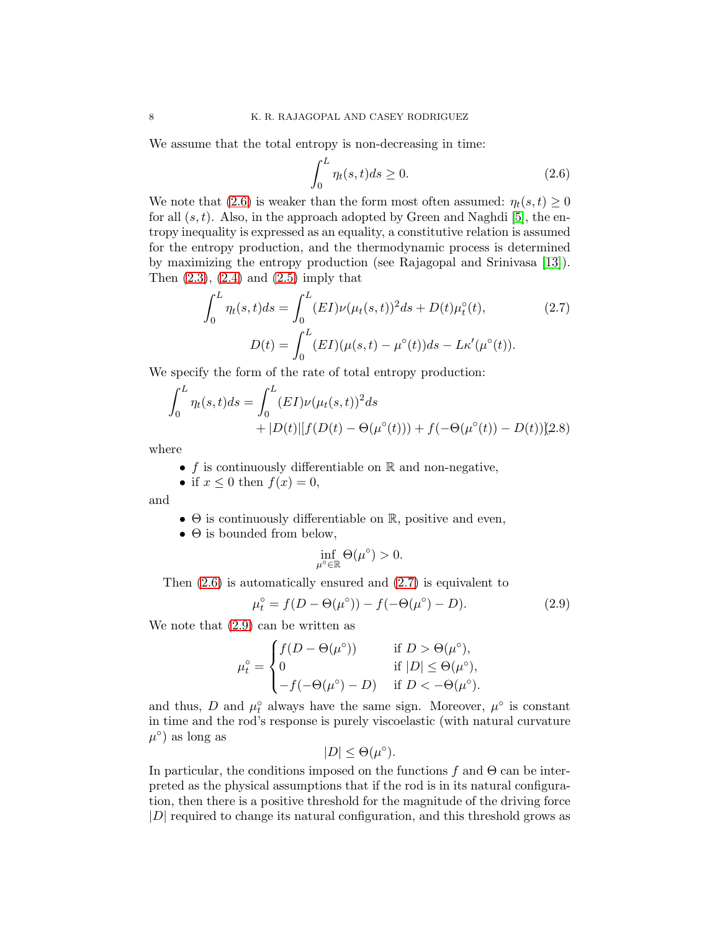We assume that the total entropy is non-decreasing in time:

<span id="page-7-3"></span><span id="page-7-2"></span>
$$
\int_0^L \eta_t(s, t)ds \ge 0.
$$
\n(2.6)

We note that [\(2.6\)](#page-7-2) is weaker than the form most often assumed:  $\eta_t(s, t) \geq 0$ for all  $(s, t)$ . Also, in the approach adopted by Green and Naghdi [\[5\]](#page-20-10), the entropy inequality is expressed as an equality, a constitutive relation is assumed for the entropy production, and the thermodynamic process is determined by maximizing the entropy production (see Rajagopal and Srinivasa [\[13\]](#page-20-11)). Then  $(2.3)$ ,  $(2.4)$  and  $(2.5)$  imply that

$$
\int_0^L \eta_t(s,t)ds = \int_0^L (EI)\nu(\mu_t(s,t))^2 ds + D(t)\mu_t^{\circ}(t),
$$
\n
$$
D(t) = \int_0^L (EI)(\mu(s,t) - \mu^{\circ}(t))ds - L\kappa'(\mu^{\circ}(t)).
$$
\n(2.7)

We specify the form of the rate of total entropy production:

$$
\int_0^L \eta_t(s,t)ds = \int_0^L (EI)\nu(\mu_t(s,t))^2 ds
$$
  
+|D(t)||f(D(t) – Θ(μ°(t))) + f(-Θ(μ°(t)) – D(t))[2.8)

where

• f is continuously differentiable on  $\mathbb R$  and non-negative,

• if  $x \leq 0$  then  $f(x) = 0$ ,

and

- $\bullet$   $\Theta$  is continuously differentiable on  $\mathbb{R}$ , positive and even,
- $\bullet$   $\Theta$  is bounded from below,

<span id="page-7-1"></span><span id="page-7-0"></span>
$$
\inf_{\mu^{\circ}\in\mathbb{R}}\Theta(\mu^{\circ})>0.
$$

Then [\(2.6\)](#page-7-2) is automatically ensured and [\(2.7\)](#page-7-3) is equivalent to

$$
\mu_t^{\circ} = f(D - \Theta(\mu^{\circ})) - f(-\Theta(\mu^{\circ}) - D). \tag{2.9}
$$

We note that [\(2.9\)](#page-7-1) can be written as

$$
\mu_t^\circ = \begin{cases} f(D - \Theta(\mu^\circ)) & \text{if } D > \Theta(\mu^\circ), \\ 0 & \text{if } |D| \le \Theta(\mu^\circ), \\ -f(-\Theta(\mu^\circ) - D) & \text{if } D < -\Theta(\mu^\circ). \end{cases}
$$

and thus, D and  $\mu_t^{\circ}$  always have the same sign. Moreover,  $\mu^{\circ}$  is constant in time and the rod's response is purely viscoelastic (with natural curvature  $\mu^{\circ}$  as long as

$$
|D| \leq \Theta(\mu^{\circ}).
$$

In particular, the conditions imposed on the functions f and  $\Theta$  can be interpreted as the physical assumptions that if the rod is in its natural configuration, then there is a positive threshold for the magnitude of the driving force |D| required to change its natural configuration, and this threshold grows as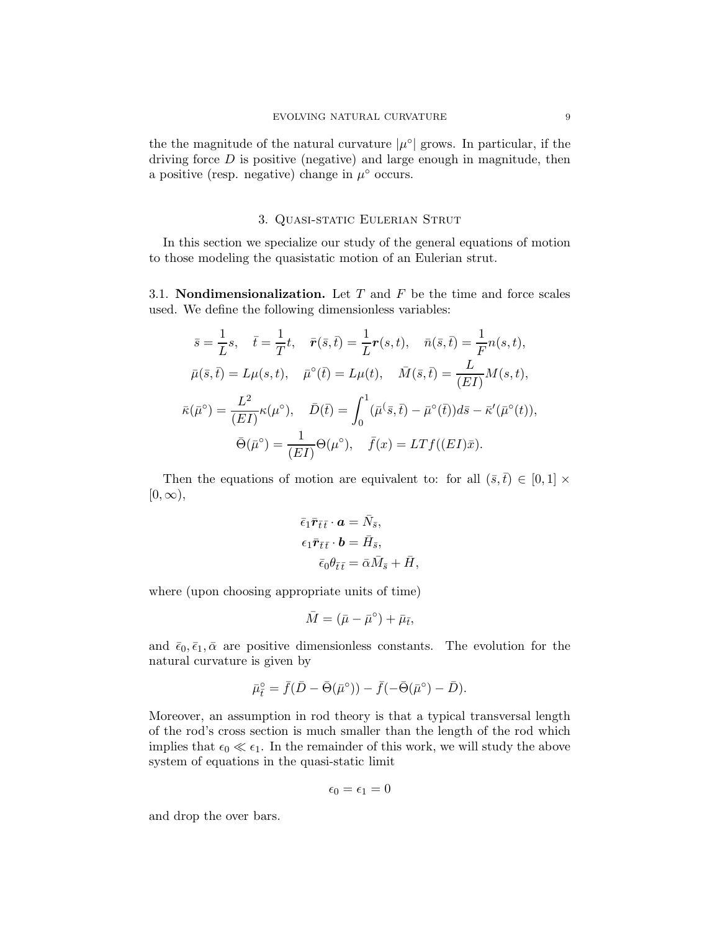the the magnitude of the natural curvature  $|\mu^{\circ}|$  grows. In particular, if the driving force  $D$  is positive (negative) and large enough in magnitude, then a positive (resp. negative) change in  $\mu^{\circ}$  occurs.

# 3. Quasi-static Eulerian Strut

In this section we specialize our study of the general equations of motion to those modeling the quasistatic motion of an Eulerian strut.

3.1. **Nondimensionalization.** Let T and F be the time and force scales used. We define the following dimensionless variables:

$$
\bar{s} = \frac{1}{L}s, \quad \bar{t} = \frac{1}{T}t, \quad \bar{r}(\bar{s}, \bar{t}) = \frac{1}{L}r(s, t), \quad \bar{n}(\bar{s}, \bar{t}) = \frac{1}{F}n(s, t),
$$

$$
\bar{\mu}(\bar{s}, \bar{t}) = L\mu(s, t), \quad \bar{\mu}^{\circ}(\bar{t}) = L\mu(t), \quad \bar{M}(\bar{s}, \bar{t}) = \frac{L}{(EI)}M(s, t),
$$

$$
\bar{\kappa}(\bar{\mu}^{\circ}) = \frac{L^2}{(EI)}\kappa(\mu^{\circ}), \quad \bar{D}(\bar{t}) = \int_0^1 (\bar{\mu}(\bar{s}, \bar{t}) - \bar{\mu}^{\circ}(\bar{t}))d\bar{s} - \bar{\kappa}'(\bar{\mu}^{\circ}(t)),
$$

$$
\bar{\Theta}(\bar{\mu}^{\circ}) = \frac{1}{(EI)}\Theta(\mu^{\circ}), \quad \bar{f}(x) = LTf((EI)\bar{x}).
$$

Then the equations of motion are equivalent to: for all  $(\bar{s}, \bar{t}) \in [0, 1] \times$  $[0,\infty),$ 

$$
\begin{aligned}\n\bar{\epsilon}_1 \bar{\mathbf{r}}_{\bar{t}\bar{t}} \cdot \mathbf{a} &= \bar{N}_{\bar{s}}, \\
\epsilon_1 \bar{\mathbf{r}}_{\bar{t}\bar{t}} \cdot \mathbf{b} &= \bar{H}_{\bar{s}}, \\
\bar{\epsilon}_0 \theta_{\bar{t}\bar{t}} &= \bar{\alpha} \bar{M}_{\bar{s}} + \bar{H},\n\end{aligned}
$$

where (upon choosing appropriate units of time)

$$
\bar{M} = (\bar{\mu} - \bar{\mu}^{\circ}) + \bar{\mu}_{\bar{t}},
$$

and  $\bar{\epsilon}_0, \bar{\epsilon}_1, \bar{\alpha}$  are positive dimensionless constants. The evolution for the natural curvature is given by

$$
\bar{\mu}_{\bar{t}}^{\circ} = \bar{f}(\bar{D} - \bar{\Theta}(\bar{\mu}^{\circ})) - \bar{f}(-\bar{\Theta}(\bar{\mu}^{\circ}) - \bar{D}).
$$

Moreover, an assumption in rod theory is that a typical transversal length of the rod's cross section is much smaller than the length of the rod which implies that  $\epsilon_0 \ll \epsilon_1$ . In the remainder of this work, we will study the above system of equations in the quasi-static limit

$$
\epsilon_0=\epsilon_1=0
$$

and drop the over bars.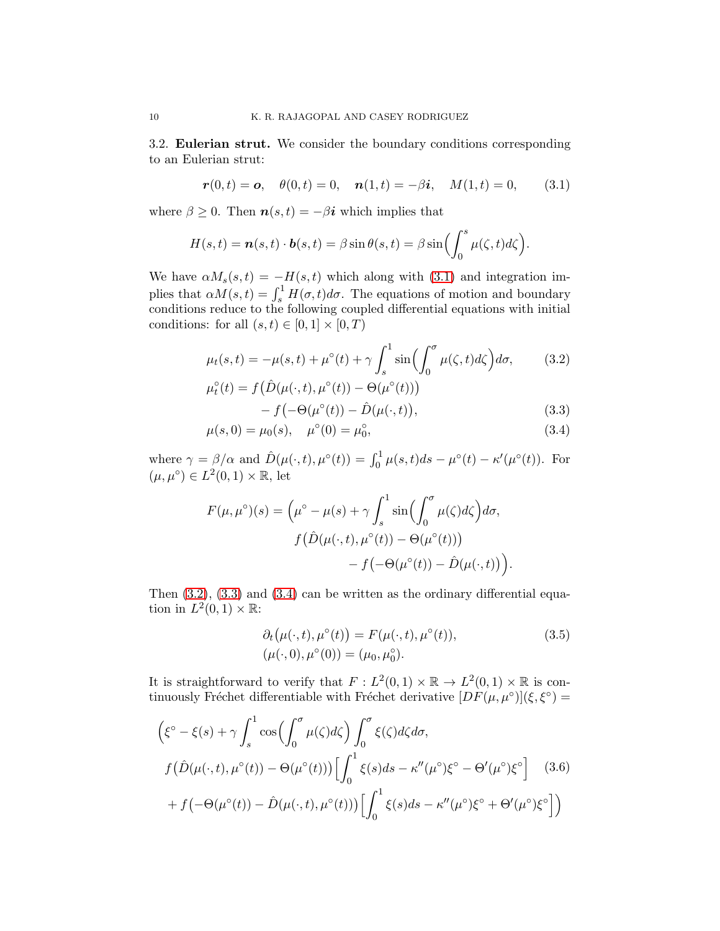3.2. Eulerian strut. We consider the boundary conditions corresponding to an Eulerian strut:

<span id="page-9-3"></span>
$$
\mathbf{r}(0,t) = \mathbf{o}, \quad \theta(0,t) = 0, \quad \mathbf{n}(1,t) = -\beta \mathbf{i}, \quad M(1,t) = 0,
$$
 (3.1)

where  $\beta \geq 0$ . Then  $n(s,t) = -\beta i$  which implies that

$$
H(s,t) = \boldsymbol{n}(s,t) \cdot \boldsymbol{b}(s,t) = \beta \sin \theta(s,t) = \beta \sin \left( \int_0^s \mu(\zeta,t) d\zeta \right).
$$

We have  $\alpha M_s(s,t) = -H(s,t)$  which along with [\(3.1\)](#page-9-3) and integration implies that  $\alpha M(s,t) = \int_s^1 H(\sigma, t) d\sigma$ . The equations of motion and boundary conditions reduce to the following coupled differential equations with initial conditions: for all  $(s, t) \in [0, 1] \times [0, T)$ 

<span id="page-9-0"></span>
$$
\mu_t(s,t) = -\mu(s,t) + \mu^{\circ}(t) + \gamma \int_s^1 \sin\left(\int_0^{\sigma} \mu(\zeta,t)d\zeta\right) d\sigma, \qquad (3.2)
$$

<span id="page-9-1"></span>
$$
\mu_t^{\circ}(t) = f\left(\hat{D}(\mu(\cdot, t), \mu^{\circ}(t)) - \Theta(\mu^{\circ}(t))\right) - f\left(-\Theta(\mu^{\circ}(t)) - \hat{D}(\mu(\cdot, t)\right),
$$
\n(3.3)

<span id="page-9-4"></span>
$$
\mu(s,0) = \mu_0(s), \quad \mu^{\circ}(0) = \mu_0^{\circ}, \tag{3.4}
$$

where  $\gamma = \beta/\alpha$  and  $\hat{D}(\mu(\cdot, t), \mu^{\circ}(t)) = \int_0^1 \mu(s, t)ds - \mu^{\circ}(t) - \kappa'(\mu^{\circ}(t)).$  For  $(\mu, \mu^{\circ}) \in L^2(0,1) \times \mathbb{R}$ , let

$$
F(\mu, \mu^{\circ})(s) = \left(\mu^{\circ} - \mu(s) + \gamma \int_s^1 \sin\left(\int_0^{\sigma} \mu(\zeta) d\zeta\right) d\sigma, \nf(\hat{D}(\mu(\cdot, t), \mu^{\circ}(t)) - \Theta(\mu^{\circ}(t))) \n-f(-\Theta(\mu^{\circ}(t)) - \hat{D}(\mu(\cdot, t))\right).
$$

Then  $(3.2)$ ,  $(3.3)$  and  $(3.4)$  can be written as the ordinary differential equation in  $L^2(0,1)\times \mathbb{R}$ :

<span id="page-9-5"></span><span id="page-9-2"></span>
$$
\partial_t (\mu(\cdot, t), \mu^{\circ}(t)) = F(\mu(\cdot, t), \mu^{\circ}(t)),
$$
  

$$
(\mu(\cdot, 0), \mu^{\circ}(0)) = (\mu_0, \mu_0^{\circ}).
$$
\n(3.5)

It is straightforward to verify that  $F: L^2(0,1) \times \mathbb{R} \to L^2(0,1) \times \mathbb{R}$  is continuously Fréchet differentiable with Fréchet derivative  $[DF(\mu, \mu^{\circ})](\xi, \xi^{\circ}) =$ 

$$
\begin{split}\n&\left(\xi^{\circ} - \xi(s) + \gamma \int_{s}^{1} \cos\left(\int_{0}^{\sigma} \mu(\zeta) d\zeta\right) \int_{0}^{\sigma} \xi(\zeta) d\zeta d\sigma, \\
& f(\hat{D}(\mu(\cdot, t), \mu^{\circ}(t)) - \Theta(\mu^{\circ}(t))) \Big[ \int_{0}^{1} \xi(s) ds - \kappa''(\mu^{\circ}) \xi^{\circ} - \Theta'(\mu^{\circ}) \xi^{\circ} \Big] \quad (3.6) \\
&+ f(-\Theta(\mu^{\circ}(t)) - \hat{D}(\mu(\cdot, t), \mu^{\circ}(t))) \Big[ \int_{0}^{1} \xi(s) ds - \kappa''(\mu^{\circ}) \xi^{\circ} + \Theta'(\mu^{\circ}) \xi^{\circ} \Big]\n\end{split}
$$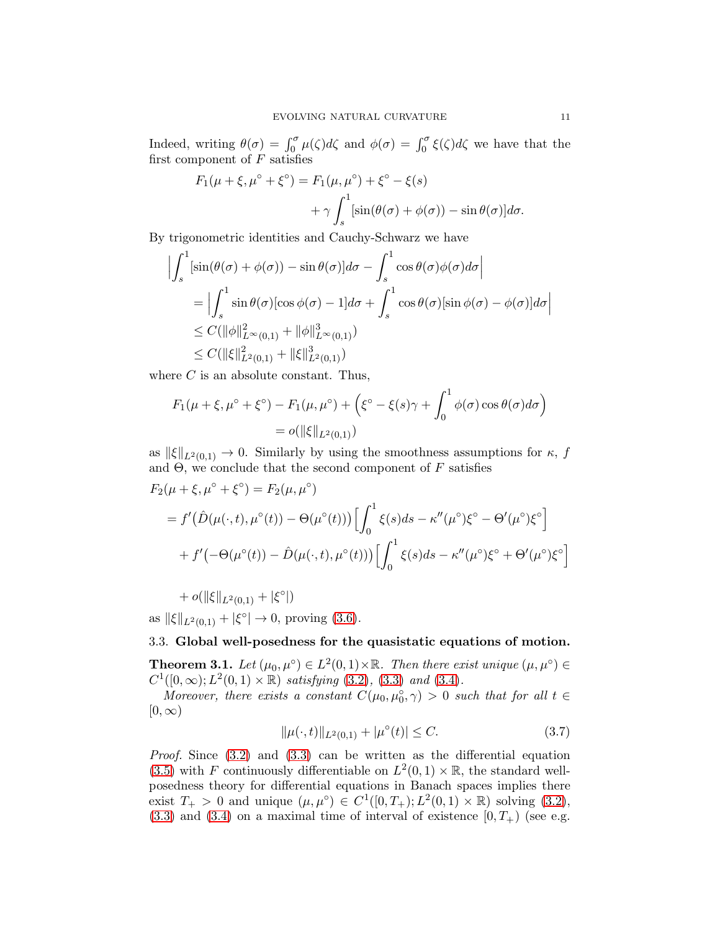Indeed, writing  $\theta(\sigma) = \int_0^{\sigma} \mu(\zeta) d\zeta$  and  $\phi(\sigma) = \int_0^{\sigma} \xi(\zeta) d\zeta$  we have that the first component of  $F$  satisfies

$$
F_1(\mu + \xi, \mu^\circ + \xi^\circ) = F_1(\mu, \mu^\circ) + \xi^\circ - \xi(s)
$$

$$
+ \gamma \int_s^1 [\sin(\theta(\sigma) + \phi(\sigma)) - \sin \theta(\sigma)] d\sigma.
$$

By trigonometric identities and Cauchy-Schwarz we have

$$
\left| \int_{s}^{1} \left[ \sin(\theta(\sigma) + \phi(\sigma)) - \sin \theta(\sigma) \right] d\sigma - \int_{s}^{1} \cos \theta(\sigma) \phi(\sigma) d\sigma \right|
$$
  
\n
$$
= \left| \int_{s}^{1} \sin \theta(\sigma) [\cos \phi(\sigma) - 1] d\sigma + \int_{s}^{1} \cos \theta(\sigma) [\sin \phi(\sigma) - \phi(\sigma)] d\sigma \right|
$$
  
\n
$$
\leq C(\|\phi\|_{L^{\infty}(0,1)}^{2} + \|\phi\|_{L^{\infty}(0,1)}^{3})
$$
  
\n
$$
\leq C(\|\xi\|_{L^{2}(0,1)}^{2} + \|\xi\|_{L^{2}(0,1)}^{3})
$$

where  $C$  is an absolute constant. Thus,

$$
F_1(\mu + \xi, \mu^{\circ} + \xi^{\circ}) - F_1(\mu, \mu^{\circ}) + (\xi^{\circ} - \xi(s)\gamma + \int_0^1 \phi(\sigma) \cos \theta(\sigma) d\sigma) = o(||\xi||_{L^2(0,1)})
$$

as  $\|\xi\|_{L^2(0,1)} \to 0$ . Similarly by using the smoothness assumptions for  $\kappa$ , f and  $\Theta$ , we conclude that the second component of F satisfies

$$
F_2(\mu + \xi, \mu^{\circ} + \xi^{\circ}) = F_2(\mu, \mu^{\circ})
$$
  
=  $f'(\hat{D}(\mu(\cdot, t), \mu^{\circ}(t)) - \Theta(\mu^{\circ}(t))) \Big[ \int_0^1 \xi(s)ds - \kappa''(\mu^{\circ})\xi^{\circ} - \Theta'(\mu^{\circ})\xi^{\circ} \Big] + f'(-\Theta(\mu^{\circ}(t)) - \hat{D}(\mu(\cdot, t), \mu^{\circ}(t))) \Big[ \int_0^1 \xi(s)ds - \kappa''(\mu^{\circ})\xi^{\circ} + \Theta'(\mu^{\circ})\xi^{\circ} \Big]$ 

 $+ o(||\xi||_{L^2(0,1)} + |\xi^{\circ}|)$ 

as  $\|\xi\|_{L^2(0,1)} + |\xi^{\circ}| \to 0$ , proving [\(3.6\)](#page-9-5).

# 3.3. Global well-posedness for the quasistatic equations of motion.

<span id="page-10-0"></span>**Theorem 3.1.** Let  $(\mu_0, \mu^{\circ}) \in L^2(0, 1) \times \mathbb{R}$ . Then there exist unique  $(\mu, \mu^{\circ}) \in$  $C^1([0,\infty); L^2(0,1) \times \mathbb{R})$  *satisfying* [\(3.2\)](#page-9-0), [\(3.3\)](#page-9-1) *and* [\(3.4\)](#page-9-4)*.* 

*Moreover, there exists a constant*  $C(\mu_0, \mu_0^{\circ}, \gamma) > 0$  *such that for all*  $t \in$  $[0,\infty)$ 

<span id="page-10-1"></span>
$$
\|\mu(\cdot,t)\|_{L^2(0,1)} + |\mu^{\circ}(t)| \le C. \tag{3.7}
$$

*Proof.* Since  $(3.2)$  and  $(3.3)$  can be written as the differential equation [\(3.5\)](#page-9-2) with F continuously differentiable on  $L^2(0,1) \times \mathbb{R}$ , the standard wellposedness theory for differential equations in Banach spaces implies there exist  $T_{+} > 0$  and unique  $(\mu, \mu^{\circ}) \in C^{1}([0, T_{+}); L^{2}(0, 1) \times \mathbb{R})$  solving [\(3.2\)](#page-9-0),  $(3.3)$  and  $(3.4)$  on a maximal time of interval of existence  $[0, T<sub>+</sub>)$  (see e.g.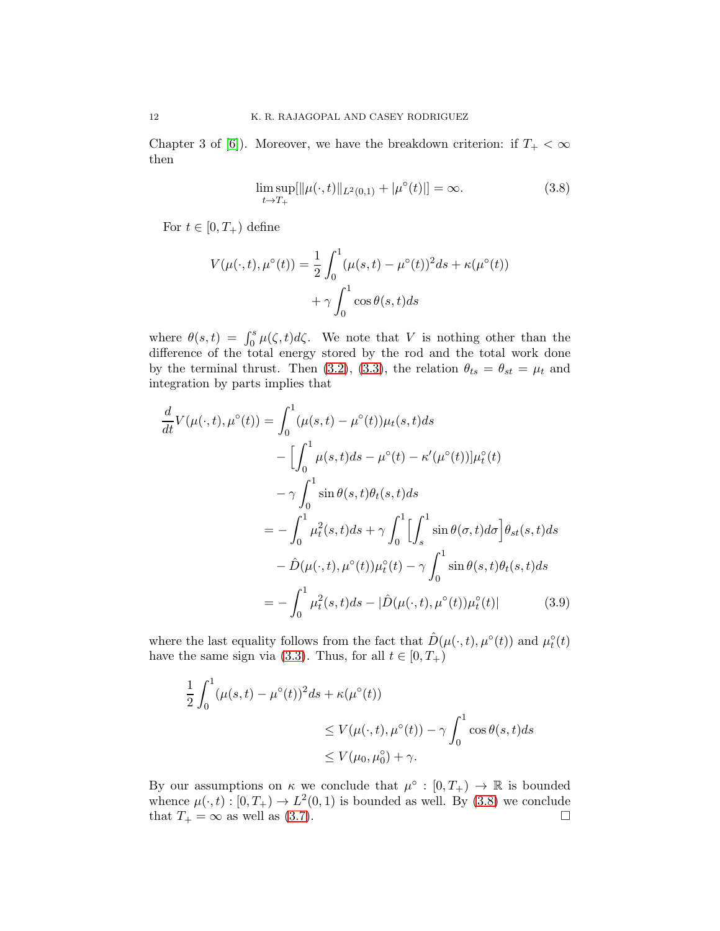Chapter 3 of [\[6\]](#page-20-12)). Moreover, we have the breakdown criterion: if  $T_{+} < \infty$ then

<span id="page-11-1"></span>
$$
\limsup_{t \to T_+} [\|\mu(\cdot, t)\|_{L^2(0, 1)} + |\mu^{\circ}(t)|] = \infty.
$$
\n(3.8)

For  $t \in [0, T_+)$  define

$$
V(\mu(\cdot, t), \mu^{\circ}(t)) = \frac{1}{2} \int_0^1 (\mu(s, t) - \mu^{\circ}(t))^2 ds + \kappa(\mu^{\circ}(t))
$$

$$
+ \gamma \int_0^1 \cos \theta(s, t) ds
$$

where  $\theta(s,t) = \int_0^s \mu(\zeta, t) d\zeta$ . We note that V is nothing other than the difference of the total energy stored by the rod and the total work done by the terminal thrust. Then [\(3.2\)](#page-9-0), [\(3.3\)](#page-9-1), the relation  $\theta_{ts} = \theta_{st} = \mu_t$  and integration by parts implies that

$$
\frac{d}{dt}V(\mu(\cdot,t),\mu^{\circ}(t)) = \int_0^1 (\mu(s,t) - \mu^{\circ}(t))\mu_t(s,t)ds
$$

$$
- \left[ \int_0^1 \mu(s,t)ds - \mu^{\circ}(t) - \kappa'(\mu^{\circ}(t)) \mu_t^{\circ}(t) - \gamma \int_0^1 \sin \theta(s,t)\theta_t(s,t)ds \right]
$$

$$
= -\int_0^1 \mu_t^2(s,t)ds + \gamma \int_0^1 \left[ \int_s^1 \sin \theta(\sigma,t)d\sigma \right] \theta_{st}(s,t)ds
$$

$$
- \hat{D}(\mu(\cdot,t),\mu^{\circ}(t))\mu_t^{\circ}(t) - \gamma \int_0^1 \sin \theta(s,t)\theta_t(s,t)ds
$$

$$
= -\int_0^1 \mu_t^2(s,t)ds - |\hat{D}(\mu(\cdot,t),\mu^{\circ}(t))\mu_t^{\circ}(t)| \tag{3.9}
$$

where the last equality follows from the fact that  $\hat{D}(\mu(\cdot,t),\mu^{\circ}(t))$  and  $\mu^{\circ}_t(t)$ have the same sign via [\(3.3\)](#page-9-1). Thus, for all  $t \in [0, T_+)$ 

<span id="page-11-0"></span>
$$
\frac{1}{2} \int_0^1 (\mu(s, t) - \mu^\circ(t))^2 ds + \kappa(\mu^\circ(t))
$$
  
\n
$$
\leq V(\mu(\cdot, t), \mu^\circ(t)) - \gamma \int_0^1 \cos \theta(s, t) ds
$$
  
\n
$$
\leq V(\mu_0, \mu_0^\circ) + \gamma.
$$

By our assumptions on  $\kappa$  we conclude that  $\mu^{\circ} : [0, T_{+}) \to \mathbb{R}$  is bounded whence  $\mu(\cdot, t) : [0, T_+) \to L^2(0, 1)$  is bounded as well. By [\(3.8\)](#page-11-1) we conclude that  $T_+ = \infty$  as well as [\(3.7\)](#page-10-1).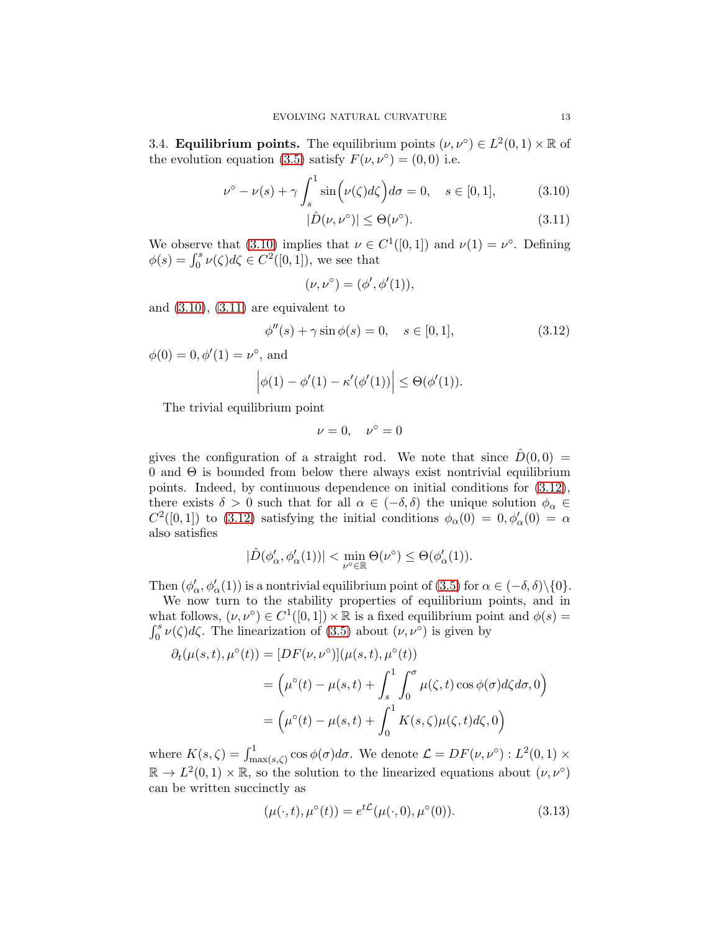3.4. **Equilibrium points.** The equilibrium points  $(\nu, \nu^{\circ}) \in L^2(0,1) \times \mathbb{R}$  of the evolution equation [\(3.5\)](#page-9-2) satisfy  $F(\nu, \nu^{\circ}) = (0,0)$  i.e.

$$
\nu^{\circ} - \nu(s) + \gamma \int_{s}^{1} \sin\left(\nu(\zeta)d\zeta\right) d\sigma = 0, \quad s \in [0, 1], \tag{3.10}
$$

<span id="page-12-1"></span><span id="page-12-0"></span>
$$
|\hat{D}(\nu, \nu^{\circ})| \leq \Theta(\nu^{\circ}).\tag{3.11}
$$

We observe that [\(3.10\)](#page-12-0) implies that  $\nu \in C^1([0,1])$  and  $\nu(1) = \nu^{\circ}$ . Defining  $\phi(s) = \int_0^s \nu(\zeta) d\zeta \in C^2([0, 1]),$  we see that

<span id="page-12-2"></span>
$$
(\nu, \nu^{\circ}) = (\phi', \phi'(1)),
$$

and  $(3.10)$ ,  $(3.11)$  are equivalent to

$$
\phi''(s) + \gamma \sin \phi(s) = 0, \quad s \in [0, 1], \tag{3.12}
$$

 $\phi(0) = 0, \phi'(1) = \nu^{\circ}, \text{ and}$ 

$$
\left|\phi(1)-\phi'(1)-\kappa'(\phi'(1))\right|\leq \Theta(\phi'(1)).
$$

The trivial equilibrium point

$$
\nu = 0, \quad \nu^{\circ} = 0
$$

gives the configuration of a straight rod. We note that since  $\ddot{D}(0,0)$  =  $0$  and  $\Theta$  is bounded from below there always exist nontrivial equilibrium points. Indeed, by continuous dependence on initial conditions for [\(3.12\)](#page-12-2), there exists  $\delta > 0$  such that for all  $\alpha \in (-\delta, \delta)$  the unique solution  $\phi_{\alpha} \in$  $C^2([0,1])$  to [\(3.12\)](#page-12-2) satisfying the initial conditions  $\phi_\alpha(0) = 0, \phi'_\alpha(0) = \alpha$ also satisfies

$$
|\hat{D}(\phi'_{\alpha},\phi'_{\alpha}(1))| < \min_{\nu^{\circ}\in\mathbb{R}}\Theta(\nu^{\circ}) \leq \Theta(\phi'_{\alpha}(1)).
$$

Then  $(\phi'_\alpha, \phi'_\alpha(1))$  is a nontrivial equilibrium point of  $(3.5)$  for  $\alpha \in (-\delta, \delta) \setminus \{0\}$ .

We now turn to the stability properties of equilibrium points, and in what follows,  $(\nu, \nu^{\circ}) \in C^{1}([0, 1]) \times \mathbb{R}$  is a fixed equilibrium point and  $\phi(s) =$  $\int_0^s$ <sup>s</sup><sub>0</sub>  $\nu(\zeta)d\zeta$ . The linearization of [\(3.5\)](#page-9-2) about  $(\nu, \nu^{\circ})$  is given by

$$
\partial_t(\mu(s,t), \mu^{\circ}(t)) = [DF(\nu, \nu^{\circ})](\mu(s,t), \mu^{\circ}(t))
$$
  
= 
$$
(\mu^{\circ}(t) - \mu(s,t) + \int_s^1 \int_0^{\sigma} \mu(\zeta,t) \cos \phi(\sigma) d\zeta d\sigma, 0)
$$
  
= 
$$
(\mu^{\circ}(t) - \mu(s,t) + \int_0^1 K(s,\zeta)\mu(\zeta,t) d\zeta, 0)
$$

where  $K(s,\zeta) = \int_{\max(s,\zeta)}^1 \cos \phi(\sigma) d\sigma$ . We denote  $\mathcal{L} = DF(\nu, \nu^{\circ}) : L^2(0,1) \times$  $\mathbb{R} \to L^2(0,1) \times \mathbb{R}$ , so the solution to the linearized equations about  $(\nu, \nu^{\circ})$ can be written succinctly as

<span id="page-12-3"></span>
$$
(\mu(\cdot, t), \mu^{\circ}(t)) = e^{t\mathcal{L}}(\mu(\cdot, 0), \mu^{\circ}(0)).
$$
\n(3.13)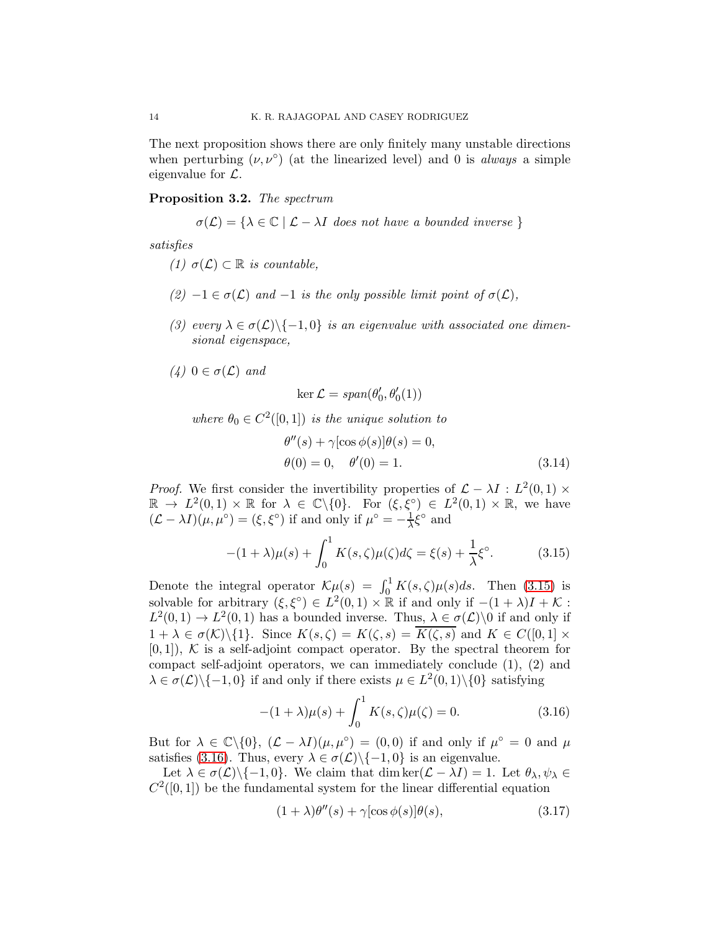The next proposition shows there are only finitely many unstable directions when perturbing  $(\nu, \nu^{\circ})$  (at the linearized level) and 0 is *always* a simple eigenvalue for  $\mathcal{L}$ .

### <span id="page-13-0"></span>Proposition 3.2. *The spectrum*

$$
\sigma(\mathcal{L}) = \{ \lambda \in \mathbb{C} \mid \mathcal{L} - \lambda I \text{ does not have a bounded inverse } \}
$$

*satisfies*

- *(1)*  $σ(L) ⊂ ℝ is countable,$
- $(2)$  −1 ∈  $\sigma(\mathcal{L})$  *and* −1 *is the only possible limit point of*  $\sigma(\mathcal{L})$ *,*
- *(3) every*  $\lambda \in \sigma(\mathcal{L}) \setminus \{-1,0\}$  *is an eigenvalue with associated one dimensional eigenspace,*
- *(4)* 0 ∈  $σ($ *C*) *and*

<span id="page-13-4"></span>
$$
\ker \mathcal{L} = \text{span}(\theta_0', \theta_0'(1))
$$

where  $\theta_0 \in C^2([0,1])$  *is the unique solution to* 

<span id="page-13-1"></span>
$$
\theta''(s) + \gamma[\cos \phi(s)]\theta(s) = 0,
$$
  
\n
$$
\theta(0) = 0, \quad \theta'(0) = 1.
$$
\n(3.14)

*Proof.* We first consider the invertibility properties of  $\mathcal{L} - \lambda I : L^2(0,1) \times$  $\mathbb{R} \to L^2(0,1) \times \mathbb{R}$  for  $\lambda \in \mathbb{C} \backslash \{0\}$ . For  $(\xi, \xi^{\circ}) \in L^2(0,1) \times \mathbb{R}$ , we have  $(\mathcal{L} - \lambda I)(\mu, \mu^{\circ}) = (\xi, \xi^{\circ})$  if and only if  $\mu^{\circ} = -\frac{1}{\lambda} \xi^{\circ}$  and

$$
-(1+\lambda)\mu(s) + \int_0^1 K(s,\zeta)\mu(\zeta)d\zeta = \xi(s) + \frac{1}{\lambda}\xi^{\circ}.
$$
 (3.15)

Denote the integral operator  $\mathcal{K}\mu(s) = \int_0^1 K(s,\zeta)\mu(s)ds$ . Then [\(3.15\)](#page-13-1) is solvable for arbitrary  $(\xi, \xi^{\circ}) \in L^2(0,1) \times \mathbb{R}$  if and only if  $-(1 + \lambda)I + \mathcal{K}$ :  $L^2(0,1) \to L^2(0,1)$  has a bounded inverse. Thus,  $\lambda \in \sigma(\mathcal{L})\setminus 0$  if and only if  $1 + \lambda \in \sigma(\mathcal{K})\backslash\{1\}.$  Since  $K(s,\zeta) = K(\zeta,s) = \overline{K(\zeta,s)}$  and  $K \in C([0,1] \times$  $[0, 1]$ , K is a self-adjoint compact operator. By the spectral theorem for compact self-adjoint operators, we can immediately conclude (1), (2) and  $\lambda \in \sigma(\mathcal{L}) \setminus \{-1,0\}$  if and only if there exists  $\mu \in L^2(0,1) \setminus \{0\}$  satisfying

<span id="page-13-2"></span>
$$
-(1+\lambda)\mu(s) + \int_0^1 K(s,\zeta)\mu(\zeta) = 0.
$$
 (3.16)

But for  $\lambda \in \mathbb{C} \setminus \{0\}, \; (\mathcal{L} - \lambda I)(\mu, \mu^{\circ}) = (0, 0)$  if and only if  $\mu^{\circ} = 0$  and  $\mu$ satisfies [\(3.16\)](#page-13-2). Thus, every  $\lambda \in \sigma(\mathcal{L}) \setminus \{-1, 0\}$  is an eigenvalue.

Let  $\lambda \in \sigma(\mathcal{L}) \setminus \{-1, 0\}$ . We claim that dim ker $(\mathcal{L} - \lambda I) = 1$ . Let  $\theta_{\lambda}, \psi_{\lambda} \in$  $C<sup>2</sup>(0, 1)$  be the fundamental system for the linear differential equation

<span id="page-13-3"></span>
$$
(1 + \lambda)\theta''(s) + \gamma[\cos\phi(s)]\theta(s), \qquad (3.17)
$$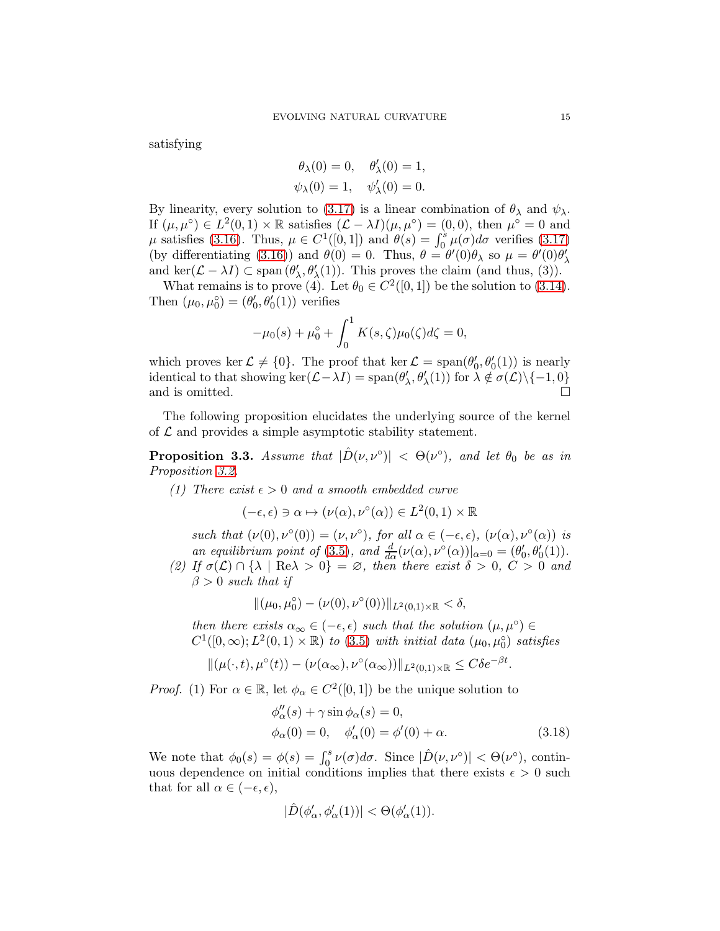satisfying

$$
\theta_{\lambda}(0) = 0, \quad \theta'_{\lambda}(0) = 1,
$$
  
 $\psi_{\lambda}(0) = 1, \quad \psi'_{\lambda}(0) = 0.$ 

By linearity, every solution to [\(3.17\)](#page-13-3) is a linear combination of  $\theta_{\lambda}$  and  $\psi_{\lambda}$ . If  $(\mu, \mu^{\circ}) \in L^2(0,1) \times \mathbb{R}$  satisfies  $(\mathcal{L} - \lambda I)(\mu, \mu^{\circ}) = (0,0)$ , then  $\mu^{\circ} = 0$  and  $\mu$  satisfies [\(3.16\)](#page-13-2). Thus,  $\mu \in C^1([0,1])$  and  $\theta(s) = \int_0^s \mu(\sigma) d\sigma$  verifies [\(3.17\)](#page-13-3) (by differentiating [\(3.16\)](#page-13-2)) and  $\theta(0) = 0$ . Thus,  $\theta = \theta'(0)\theta_\lambda$  so  $\mu = \theta'(0)\theta'_\lambda$ λ and ker $(\mathcal{L} - \lambda I) \subset \text{span}(\theta)$  $\lambda, \theta'_{\lambda}(1)$ . This proves the claim (and thus, (3)).

What remains is to prove (4). Let  $\theta_0 \in C^2([0,1])$  be the solution to [\(3.14\)](#page-13-4). Then  $(\mu_0, \mu_0^{\circ}) = (\theta_0^{\prime})$  $\theta_0, \theta_0(1)$  verifies

$$
-\mu_0(s) + \mu_0^{\circ} + \int_0^1 K(s,\zeta)\mu_0(\zeta)d\zeta = 0,
$$

which proves ker  $\mathcal{L} \neq \{0\}$ . The proof that ker  $\mathcal{L} = \text{span}(\theta_0)$  $\theta_0'$ ,  $\theta_0'(1)$ ) is nearly identical to that showing  $\ker(\mathcal{L} - \lambda I) = \text{span}(\theta)$  $(\lambda, \theta'_{\lambda}(1))$  for  $\lambda \notin \sigma(\mathcal{L}) \setminus \{-1, 0\}$ and is omitted.  $\Box$ 

The following proposition elucidates the underlying source of the kernel of  $\mathcal L$  and provides a simple asymptotic stability statement.

<span id="page-14-0"></span>**Proposition 3.3.** *Assume that*  $|\hat{D}(\nu,\nu^{\circ})| < \Theta(\nu^{\circ})$ , and let  $\theta_0$  be as in *Proposition [3.2.](#page-13-0)*

*(1)* There exist  $\epsilon > 0$  and a smooth embedded curve

$$
(-\epsilon, \epsilon) \ni \alpha \mapsto (\nu(\alpha), \nu^{\circ}(\alpha)) \in L^2(0, 1) \times \mathbb{R}
$$

*such that*  $(\nu(0), \nu^{\circ}(0)) = (\nu, \nu^{\circ}),$  *for all*  $\alpha \in (-\epsilon, \epsilon), (\nu(\alpha), \nu^{\circ}(\alpha))$  *is an equilibrium point of* [\(3.5\)](#page-9-2), and  $\frac{d}{d\alpha}(\nu(\alpha), \nu^{\circ}(\alpha))|_{\alpha=0} = (\theta_0^{\prime})$  $\theta_0, \theta_0(1)$ .

*(2)* If  $\sigma(\mathcal{L}) \cap {\lambda \mid \text{Re}\lambda > 0} = \varnothing$ , then there exist  $\delta > 0$ ,  $C > 0$  and  $\beta > 0$  *such that if* 

$$
\|(\mu_0, \mu_0^\circ) - (\nu(0), \nu^\circ(0))\|_{L^2(0,1)\times \mathbb{R}} < \delta,
$$

*then there exists*  $\alpha_{\infty} \in (-\epsilon, \epsilon)$  *such that the solution*  $(\mu, \mu^{\circ}) \in$  $C^1([0,\infty); L^2(0,1) \times \mathbb{R})$  *to* [\(3.5\)](#page-9-2) *with initial data*  $(\mu_0, \mu_0^{\circ})$  *satisfies* 

$$
\|(\mu(\cdot,t),\mu^{\circ}(t)) - (\nu(\alpha_{\infty}),\nu^{\circ}(\alpha_{\infty}))\|_{L^{2}(0,1)\times\mathbb{R}} \leq C\delta e^{-\beta t}.
$$

*Proof.* (1) For  $\alpha \in \mathbb{R}$ , let  $\phi_{\alpha} \in C^2([0,1])$  be the unique solution to

$$
\begin{aligned}\n\phi''_{\alpha}(s) + \gamma \sin \phi_{\alpha}(s) &= 0, \\
\phi_{\alpha}(0) &= 0, \quad \phi'_{\alpha}(0) = \phi'(0) + \alpha.\n\end{aligned} \tag{3.18}
$$

We note that  $\phi_0(s) = \phi(s) = \int_0^s \nu(\sigma) d\sigma$ . Since  $|\hat{D}(\nu, \nu^{\circ})| < \Theta(\nu^{\circ})$ , continuous dependence on initial conditions implies that there exists  $\epsilon > 0$  such that for all  $\alpha \in (-\epsilon, \epsilon)$ ,

<span id="page-14-1"></span>
$$
|\hat{D}(\phi_\alpha',\phi_\alpha'(1))|<\Theta(\phi_\alpha'(1)).
$$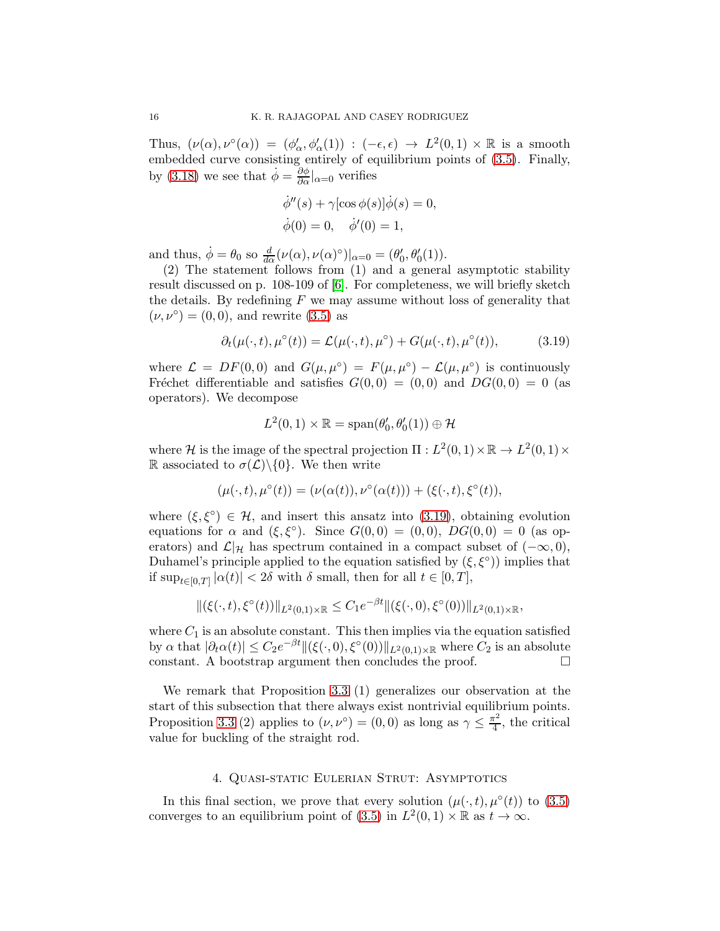Thus,  $(\nu(\alpha), \nu^{\circ}(\alpha)) = (\phi_{\alpha}', \phi_{\alpha}'(1)) : (-\epsilon, \epsilon) \to L^2(0, 1) \times \mathbb{R}$  is a smooth embedded curve consisting entirely of equilibrium points of [\(3.5\)](#page-9-2). Finally, by [\(3.18\)](#page-14-1) we see that  $\dot{\phi} = \frac{\partial \phi}{\partial \alpha}|_{\alpha=0}$  verifies

$$
\dot{\phi}''(s) + \gamma[\cos \phi(s)]\dot{\phi}(s) = 0,
$$
  

$$
\dot{\phi}(0) = 0, \quad \dot{\phi}'(0) = 1,
$$

and thus,  $\dot{\phi} = \theta_0$  so  $\frac{d}{d\alpha}(\nu(\alpha), \nu(\alpha)^{\circ})|_{\alpha=0} = (\theta_0)$  $'_{0}, \theta'_{0}(1)).$ 

(2) The statement follows from (1) and a general asymptotic stability result discussed on p. 108-109 of [\[6\]](#page-20-12). For completeness, we will briefly sketch the details. By redefining  $F$  we may assume without loss of generality that  $(\nu, \nu^{\circ}) = (0, 0)$ , and rewrite [\(3.5\)](#page-9-2) as

$$
\partial_t(\mu(\cdot,t),\mu^\circ(t)) = \mathcal{L}(\mu(\cdot,t),\mu^\circ) + G(\mu(\cdot,t),\mu^\circ(t)),\tag{3.19}
$$

where  $\mathcal{L} = DF(0,0)$  and  $G(\mu,\mu^{\circ}) = F(\mu,\mu^{\circ}) - \mathcal{L}(\mu,\mu^{\circ})$  is continuously Fréchet differentiable and satisfies  $G(0,0) = (0,0)$  and  $DG(0,0) = 0$  (as operators). We decompose

<span id="page-15-0"></span>
$$
L^2(0,1)\times\mathbb{R}=\mathrm{span}(\theta_0',\theta_0'(1))\oplus\mathcal{H}
$$

where H is the image of the spectral projection  $\Pi: L^2(0,1) \times \mathbb{R} \to L^2(0,1) \times$ R associated to  $\sigma(\mathcal{L})\setminus\{0\}$ . We then write

$$
(\mu(\cdot,t),\mu^{\circ}(t))=(\nu(\alpha(t)),\nu^{\circ}(\alpha(t)))+(\xi(\cdot,t),\xi^{\circ}(t)),
$$

where  $(\xi, \xi^{\circ}) \in \mathcal{H}$ , and insert this ansatz into [\(3.19\)](#page-15-0), obtaining evolution equations for  $\alpha$  and  $(\xi, \xi^{\circ})$ . Since  $G(0,0) = (0,0)$ ,  $DG(0,0) = 0$  (as operators) and  $\mathcal{L}|_{\mathcal{H}}$  has spectrum contained in a compact subset of  $(-\infty,0)$ , Duhamel's principle applied to the equation satisfied by  $(\xi, \xi^{\circ})$  implies that if  $\sup_{t \in [0,T]} |\alpha(t)| < 2\delta$  with  $\delta$  small, then for all  $t \in [0,T]$ ,

$$
\|(\xi(\cdot,t),\xi^{\circ}(t))\|_{L^2(0,1)\times \mathbb R}\leq C_1e^{-\beta t}\|(\xi(\cdot,0),\xi^{\circ}(0))\|_{L^2(0,1)\times \mathbb R},
$$

where  $C_1$  is an absolute constant. This then implies via the equation satisfied by  $\alpha$  that  $|\partial_t \alpha(t)| \leq C_2 e^{-\beta t} ||(\xi(\cdot, 0), \xi^{\circ}(0))||_{L^2(0,1)\times \mathbb{R}}$  where  $C_2$  is an absolute constant. A bootstrap argument then concludes the proof.  $\Box$ 

We remark that Proposition [3.3](#page-14-0) (1) generalizes our observation at the start of this subsection that there always exist nontrivial equilibrium points. Proposition [3.3](#page-14-0) (2) applies to  $(\nu, \nu^{\circ}) = (0, 0)$  as long as  $\gamma \leq \frac{\pi^2}{4}$  $\frac{1}{4}$ , the critical value for buckling of the straight rod.

### 4. Quasi-static Eulerian Strut: Asymptotics

In this final section, we prove that every solution  $(\mu(\cdot,t), \mu^{\circ}(t))$  to  $(3.5)$ converges to an equilibrium point of [\(3.5\)](#page-9-2) in  $L^2(0,1) \times \mathbb{R}$  as  $t \to \infty$ .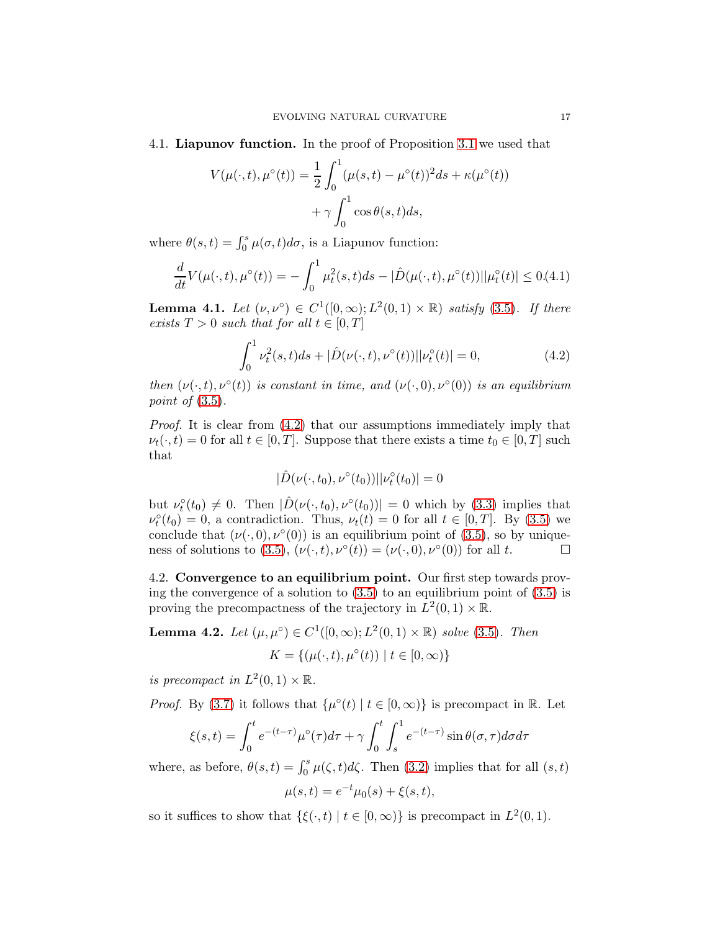4.1. Liapunov function. In the proof of Proposition [3.1](#page-10-0) we used that

$$
V(\mu(\cdot,t),\mu^{\circ}(t)) = \frac{1}{2} \int_0^1 (\mu(s,t) - \mu^{\circ}(t))^2 ds + \kappa(\mu^{\circ}(t)) + \gamma \int_0^1 \cos \theta(s,t) ds,
$$

where  $\theta(s,t) = \int_0^s \mu(\sigma, t) d\sigma$ , is a Liapunov function:

$$
\frac{d}{dt}V(\mu(\cdot,t),\mu^{\circ}(t)) = -\int_0^1 \mu_t^2(s,t)ds - |\hat{D}(\mu(\cdot,t),\mu^{\circ}(t))||\mu_t^{\circ}(t)| \le 0.4.1
$$

<span id="page-16-2"></span>**Lemma 4.1.** *Let*  $(\nu, \nu^{\circ}) \in C^1([0, \infty); L^2(0, 1) \times \mathbb{R})$  *satisfy* [\(3.5\)](#page-9-2). If there *exists*  $T > 0$  *such that for all*  $t \in [0, T]$ 

<span id="page-16-3"></span>
$$
\int_0^1 \nu_t^2(s, t)ds + |\hat{D}(\nu(\cdot, t), \nu^\circ(t))||\nu_t^\circ(t)| = 0,
$$
\n(4.2)

*then*  $(\nu(\cdot,t), \nu^{\circ}(t))$  *is constant in time, and*  $(\nu(\cdot,0), \nu^{\circ}(0))$  *is an equilibrium point of* [\(3.5\)](#page-9-2)*.*

*Proof.* It is clear from  $(4.2)$  that our assumptions immediately imply that  $\nu_t(\cdot, t) = 0$  for all  $t \in [0, T]$ . Suppose that there exists a time  $t_0 \in [0, T]$  such that

<span id="page-16-1"></span>
$$
|\hat{D}(\nu(\cdot,t_0),\nu^{\circ}(t_0))||\nu^{\circ}_t(t_0)|=0
$$

but  $\nu_t^{\circ}(t_0) \neq 0$ . Then  $|\hat{D}(\nu(\cdot,t_0),\nu^{\circ}(t_0))| = 0$  which by [\(3.3\)](#page-9-1) implies that  $\nu_t^{\circ}(t_0) = 0$ , a contradiction. Thus,  $\nu_t(t) = 0$  for all  $t \in [0, T]$ . By [\(3.5\)](#page-9-2) we conclude that  $(\nu(\cdot,0), \nu^{\circ}(0))$  is an equilibrium point of [\(3.5\)](#page-9-2), so by unique-ness of solutions to [\(3.5\)](#page-9-2),  $(\nu(\cdot,t),\nu^{\circ}(t)) = (\nu(\cdot,0),\nu^{\circ}(0))$  for all t.

4.2. Convergence to an equilibrium point. Our first step towards proving the convergence of a solution to  $(3.5)$  to an equilibrium point of  $(3.5)$  is proving the precompactness of the trajectory in  $L^2(0,1) \times \mathbb{R}$ .

<span id="page-16-0"></span>**Lemma 4.2.** *Let*  $(\mu, \mu^{\circ}) \in C^1([0, \infty); L^2(0, 1) \times \mathbb{R})$  *solve* [\(3.5\)](#page-9-2)*. Then* 

$$
K = \{ (\mu(\cdot, t), \mu^{\circ}(t)) \mid t \in [0, \infty) \}
$$

*is precompact in*  $L^2(0,1) \times \mathbb{R}$ .

*Proof.* By [\(3.7\)](#page-10-1) it follows that  $\{\mu^{\circ}(t) \mid t \in [0, \infty)\}\$ is precompact in R. Let

$$
\xi(s,t) = \int_0^t e^{-(t-\tau)} \mu^{\circ}(\tau) d\tau + \gamma \int_0^t \int_s^1 e^{-(t-\tau)} \sin \theta(\sigma, \tau) d\sigma d\tau
$$

where, as before,  $\theta(s,t) = \int_0^s \mu(\zeta, t) d\zeta$ . Then [\(3.2\)](#page-9-0) implies that for all  $(s, t)$ 

$$
\mu(s,t) = e^{-t} \mu_0(s) + \xi(s,t),
$$

so it suffices to show that  $\{\xi(\cdot,t) \mid t \in [0,\infty)\}\$ is precompact in  $L^2(0,1)$ .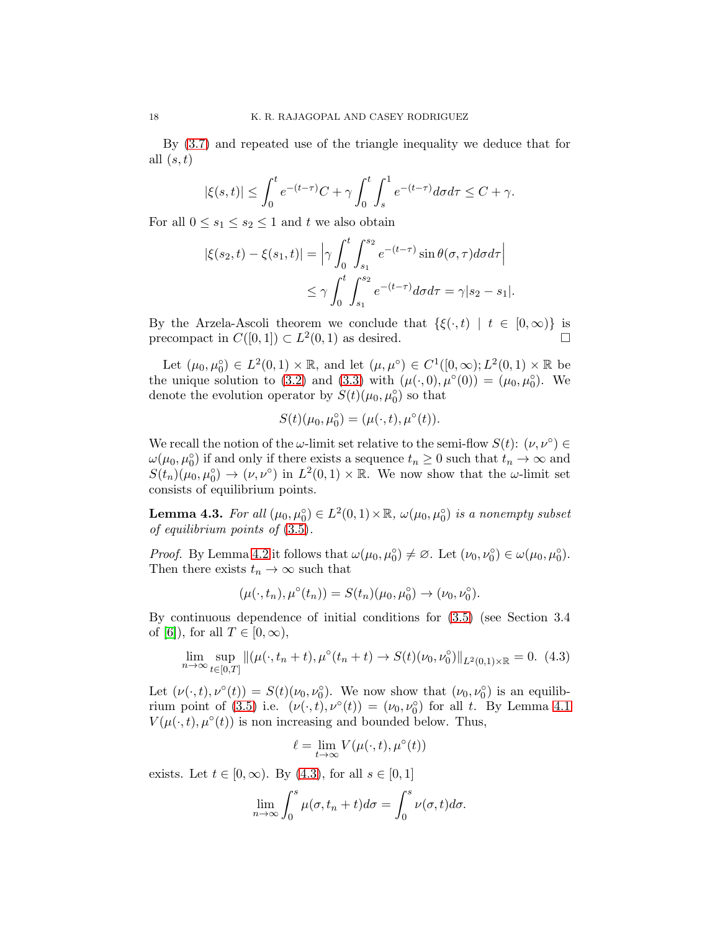By [\(3.7\)](#page-10-1) and repeated use of the triangle inequality we deduce that for all  $(s, t)$ 

$$
|\xi(s,t)| \le \int_0^t e^{-(t-\tau)}C + \gamma \int_0^t \int_s^1 e^{-(t-\tau)}d\sigma d\tau \le C + \gamma.
$$

For all  $0 \leq s_1 \leq s_2 \leq 1$  and t we also obtain

$$
|\xi(s_2, t) - \xi(s_1, t)| = \left| \gamma \int_0^t \int_{s_1}^{s_2} e^{-(t-\tau)} \sin \theta(\sigma, \tau) d\sigma d\tau \right|
$$
  

$$
\leq \gamma \int_0^t \int_{s_1}^{s_2} e^{-(t-\tau)} d\sigma d\tau = \gamma |s_2 - s_1|.
$$

By the Arzela-Ascoli theorem we conclude that  $\{\xi(\cdot,t) \mid t \in [0,\infty)\}\$ is precompact in  $C([0,1]) \subset L^2(0,1)$  as desired.

Let  $(\mu_0, \mu_0^{\circ}) \in L^2(0,1) \times \mathbb{R}$ , and let  $(\mu, \mu^{\circ}) \in C^1([0,\infty); L^2(0,1) \times \mathbb{R}$  be the unique solution to [\(3.2\)](#page-9-0) and [\(3.3\)](#page-9-1) with  $(\mu(\cdot,0), \mu^{\circ}(0)) = (\mu_0, \mu_0^{\circ})$ . We denote the evolution operator by  $S(t)(\mu_0, \mu_0^{\circ})$  so that

$$
S(t)(\mu_0, \mu_0^{\circ}) = (\mu(\cdot, t), \mu^{\circ}(t)).
$$

We recall the notion of the  $\omega$ -limit set relative to the semi-flow  $S(t)$ :  $(\nu, \nu^{\circ}) \in$  $\omega(\mu_0, \mu_0^{\circ})$  if and only if there exists a sequence  $t_n \geq 0$  such that  $t_n \to \infty$  and  $S(t_n)(\mu_0, \mu_0^{\circ}) \to (\nu, \nu^{\circ})$  in  $L^2(0,1) \times \mathbb{R}$ . We now show that the  $\omega$ -limit set consists of equilibrium points.

<span id="page-17-0"></span>**Lemma 4.3.** *For all*  $(\mu_0, \mu_0^{\circ}) \in L^2(0, 1) \times \mathbb{R}$ ,  $\omega(\mu_0, \mu_0^{\circ})$  *is a nonempty subset of equilibrium points of* [\(3.5\)](#page-9-2)*.*

*Proof.* By Lemma [4.2](#page-16-0) it follows that  $\omega(\mu_0, \mu_0^{\circ}) \neq \emptyset$ . Let  $(\nu_0, \nu_0^{\circ}) \in \omega(\mu_0, \mu_0^{\circ})$ . Then there exists  $t_n \to \infty$  such that

$$
(\mu(\cdot, t_n), \mu^{\circ}(t_n)) = S(t_n)(\mu_0, \mu_0^{\circ}) \to (\nu_0, \nu_0^{\circ}).
$$

By continuous dependence of initial conditions for [\(3.5\)](#page-9-2) (see Section 3.4 of [\[6\]](#page-20-12)), for all  $T \in [0, \infty)$ ,

$$
\lim_{n \to \infty} \sup_{t \in [0,T]} \| (\mu(\cdot, t_n + t), \mu^{\circ}(t_n + t) \to S(t)(\nu_0, \nu_0^{\circ}) \|_{L^2(0,1) \times \mathbb{R}} = 0. \tag{4.3}
$$

Let  $(\nu(\cdot,t),\nu^{\circ}(t)) = S(t)(\nu_0,\nu_0^{\circ})$ . We now show that  $(\nu_0,\nu_0^{\circ})$  is an equilib-rium point of [\(3.5\)](#page-9-2) i.e.  $(\nu(\cdot,t), \nu^{\circ}(t)) = (\nu_0, \nu_0^{\circ})$  for all t. By Lemma [4.1](#page-16-2)  $V(\mu(\cdot,t),\mu^{\circ}(t))$  is non increasing and bounded below. Thus,

<span id="page-17-1"></span>
$$
\ell = \lim_{t \to \infty} V(\mu(\cdot, t), \mu^{\circ}(t))
$$

exists. Let  $t \in [0, \infty)$ . By [\(4.3\)](#page-17-1), for all  $s \in [0, 1]$ 

$$
\lim_{n \to \infty} \int_0^s \mu(\sigma, t_n + t) d\sigma = \int_0^s \nu(\sigma, t) d\sigma.
$$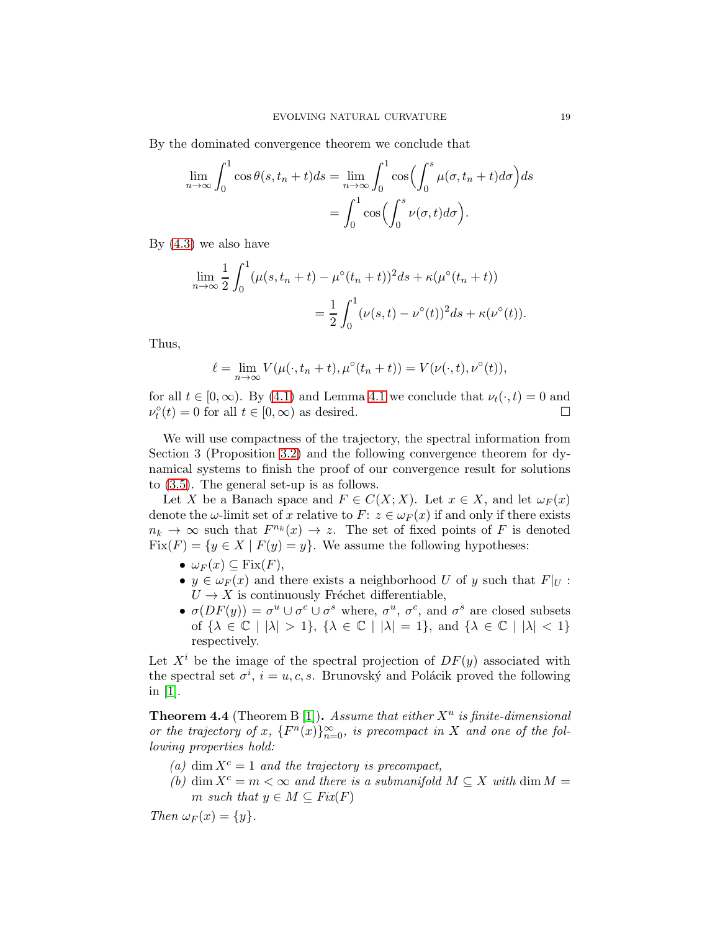By the dominated convergence theorem we conclude that

$$
\lim_{n \to \infty} \int_0^1 \cos \theta(s, t_n + t) ds = \lim_{n \to \infty} \int_0^1 \cos \left( \int_0^s \mu(\sigma, t_n + t) d\sigma \right) ds
$$

$$
= \int_0^1 \cos \left( \int_0^s \nu(\sigma, t) d\sigma \right).
$$

By [\(4.3\)](#page-17-1) we also have

$$
\lim_{n \to \infty} \frac{1}{2} \int_0^1 (\mu(s, t_n + t) - \mu^\circ(t_n + t))^2 ds + \kappa(\mu^\circ(t_n + t))
$$
  
= 
$$
\frac{1}{2} \int_0^1 (\nu(s, t) - \nu^\circ(t))^2 ds + \kappa(\nu^\circ(t)).
$$

Thus,

$$
\ell = \lim_{n \to \infty} V(\mu(\cdot, t_n + t), \mu^{\circ}(t_n + t)) = V(\nu(\cdot, t), \nu^{\circ}(t)),
$$

for all  $t \in [0,\infty)$ . By [\(4.1\)](#page-16-3) and Lemma [4.1](#page-16-2) we conclude that  $\nu_t(\cdot,t) = 0$  and  $\nu_t^{\circ}(t) = 0$  for all  $t \in [0, \infty)$  as desired.

We will use compactness of the trajectory, the spectral information from Section 3 (Proposition [3.2\)](#page-13-0) and the following convergence theorem for dynamical systems to finish the proof of our convergence result for solutions to [\(3.5\)](#page-9-2). The general set-up is as follows.

Let X be a Banach space and  $F \in C(X; X)$ . Let  $x \in X$ , and let  $\omega_F(x)$ denote the  $\omega$ -limit set of x relative to  $F: z \in \omega_F(x)$  if and only if there exists  $n_k \to \infty$  such that  $F^{n_k}(x) \to z$ . The set of fixed points of F is denoted  $Fix(F) = \{y \in X \mid F(y) = y\}.$  We assume the following hypotheses:

- $\omega_F(x) \subseteq \text{Fix}(F)$ ,
- $y \in \omega_F(x)$  and there exists a neighborhood U of y such that  $F|_U$ :  $U \rightarrow X$  is continuously Fréchet differentiable,
- $\sigma(DF(y)) = \sigma^u \cup \sigma^c \cup \sigma^s$  where,  $\sigma^u$ ,  $\sigma^c$ , and  $\sigma^s$  are closed subsets of  $\{\lambda \in \mathbb{C} \mid |\lambda| > 1\}$ ,  $\{\lambda \in \mathbb{C} \mid |\lambda| = 1\}$ , and  $\{\lambda \in \mathbb{C} \mid |\lambda| < 1\}$ respectively.

Let  $X^i$  be the image of the spectral projection of  $DF(y)$  associated with the spectral set  $\sigma^i$ ,  $i = u, c, s$ . Brunovský and Polácik proved the following in [\[1\]](#page-20-13).

<span id="page-18-0"></span>**Theorem 4.4** (Theorem B [\[1\]](#page-20-13)). Assume that either  $X^u$  is finite-dimensional *or the trajectory of* x,  $\{F^n(x)\}_{n=0}^{\infty}$ , is precompact in X and one of the fol*lowing properties hold:*

- (a) dim  $X^c = 1$  *and the trajectory is precompact,*
- *(b)* dim  $X^c = m < \infty$  and there is a submanifold  $M \subseteq X$  with dim  $M =$ m *such that*  $y \in M \subseteq Fix(F)$

*Then*  $\omega_F(x) = \{y\}.$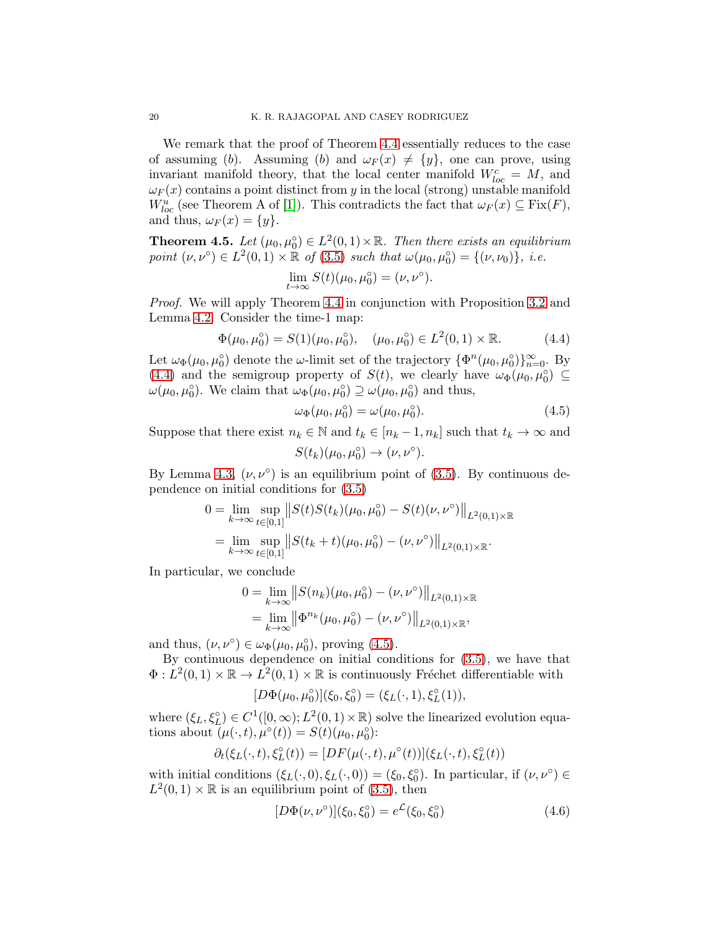We remark that the proof of Theorem [4.4](#page-18-0) essentially reduces to the case of assuming (b). Assuming (b) and  $\omega_F(x) \neq \{y\}$ , one can prove, using invariant manifold theory, that the local center manifold  $W_{loc}^c = M$ , and  $\omega_F(x)$  contains a point distinct from y in the local (strong) unstable manifold  $W^u_{loc}$  (see Theorem A of [\[1\]](#page-20-13)). This contradicts the fact that  $\omega_F(x) \subseteq \text{Fix}(F)$ , and thus,  $\omega_F(x) = \{y\}.$ 

**Theorem 4.5.** Let  $(\mu_0, \mu_0^{\circ}) \in L^2(0,1) \times \mathbb{R}$ . Then there exists an equilibrium *point*  $(\nu, \nu^{\circ}) \in L^2(0, 1) \times \mathbb{R}$  *of*  $(3.5)$  *such that*  $\omega(\mu_0, \mu_0^{\circ}) = \{(\nu, \nu_0)\},\ i.e.$ 

$$
\lim_{t \to \infty} S(t)(\mu_0, \mu_0^{\circ}) = (\nu, \nu^{\circ}).
$$

*Proof.* We will apply Theorem [4.4](#page-18-0) in conjunction with Proposition [3.2](#page-13-0) and Lemma [4.2.](#page-16-0) Consider the time-1 map:

$$
\Phi(\mu_0, \mu_0^\circ) = S(1)(\mu_0, \mu_0^\circ), \quad (\mu_0, \mu_0^\circ) \in L^2(0, 1) \times \mathbb{R}.\tag{4.4}
$$

Let  $\omega_{\Phi}(\mu_0, \mu_0^{\circ})$  denote the  $\omega$ -limit set of the trajectory  $\{\Phi^n(\mu_0, \mu_0^{\circ})\}_{n=0}^{\infty}$ . By [\(4.4\)](#page-19-0) and the semigroup property of  $S(t)$ , we clearly have  $\omega_{\Phi}(\mu_0, \mu_0^{\circ}) \subseteq$  $\omega(\mu_0, \mu_0^{\circ})$ . We claim that  $\omega_{\Phi}(\mu_0, \mu_0^{\circ}) \supseteq \omega(\mu_0, \mu_0^{\circ})$  and thus,

<span id="page-19-1"></span><span id="page-19-0"></span>
$$
\omega_{\Phi}(\mu_0, \mu_0^{\circ}) = \omega(\mu_0, \mu_0^{\circ}). \tag{4.5}
$$

Suppose that there exist  $n_k \in \mathbb{N}$  and  $t_k \in [n_k - 1, n_k]$  such that  $t_k \to \infty$  and  $S(t_k)(\mu_0, \mu_0^{\circ}) \rightarrow (\nu, \nu^{\circ}).$ 

By Lemma [4.3,](#page-17-0)  $(\nu, \nu^{\circ})$  is an equilibrium point of [\(3.5\)](#page-9-2). By continuous dependence on initial conditions for [\(3.5\)](#page-9-2)

$$
0 = \lim_{k \to \infty} \sup_{t \in [0,1]} \| S(t)S(t_k)(\mu_0, \mu_0^{\circ}) - S(t)(\nu, \nu^{\circ}) \|_{L^2(0,1) \times \mathbb{R}}
$$
  
= 
$$
\lim_{k \to \infty} \sup_{t \in [0,1]} \| S(t_k + t)(\mu_0, \mu_0^{\circ}) - (\nu, \nu^{\circ}) \|_{L^2(0,1) \times \mathbb{R}}.
$$

In particular, we conclude

$$
0 = \lim_{k \to \infty} ||S(n_k)(\mu_0, \mu_0^{\circ}) - (\nu, \nu^{\circ})||_{L^2(0,1) \times \mathbb{R}}
$$
  
= 
$$
\lim_{k \to \infty} ||\Phi^{n_k}(\mu_0, \mu_0^{\circ}) - (\nu, \nu^{\circ})||_{L^2(0,1) \times \mathbb{R}},
$$

and thus,  $(\nu, \nu^{\circ}) \in \omega_{\Phi}(\mu_0, \mu_0^{\circ}),$  proving [\(4.5\)](#page-19-1).

By continuous dependence on initial conditions for [\(3.5\)](#page-9-2), we have that  $\Phi: L^2(0,1) \times \mathbb{R} \to L^2(0,1) \times \mathbb{R}$  is continuously Fréchet differentiable with

$$
[D\Phi(\mu_0, \mu_0^{\circ})](\xi_0, \xi_0^{\circ}) = (\xi_L(\cdot, 1), \xi_L^{\circ}(1)),
$$

where  $(\xi_L, \xi_L^{\circ}) \in C^1([0, \infty); L^2(0, 1) \times \mathbb{R})$  solve the linearized evolution equations about  $(\mu(\cdot,t), \mu^{\circ}(t)) = S(t)(\mu_0, \mu_0^{\circ})$ :

$$
\partial_t(\xi_L(\cdot,t),\xi_L^{\circ}(t))=[DF(\mu(\cdot,t),\mu^{\circ}(t))](\xi_L(\cdot,t),\xi_L^{\circ}(t))
$$

with initial conditions  $(\xi_L(\cdot,0), \xi_L(\cdot,0)) = (\xi_0, \xi_0^{\circ})$ . In particular, if  $(\nu, \nu^{\circ}) \in$  $L^2(0,1) \times \mathbb{R}$  is an equilibrium point of [\(3.5\)](#page-9-2), then

<span id="page-19-2"></span>
$$
[D\Phi(\nu,\nu^{\circ})](\xi_0,\xi_0^{\circ}) = e^{\mathcal{L}}(\xi_0,\xi_0^{\circ})
$$
\n(4.6)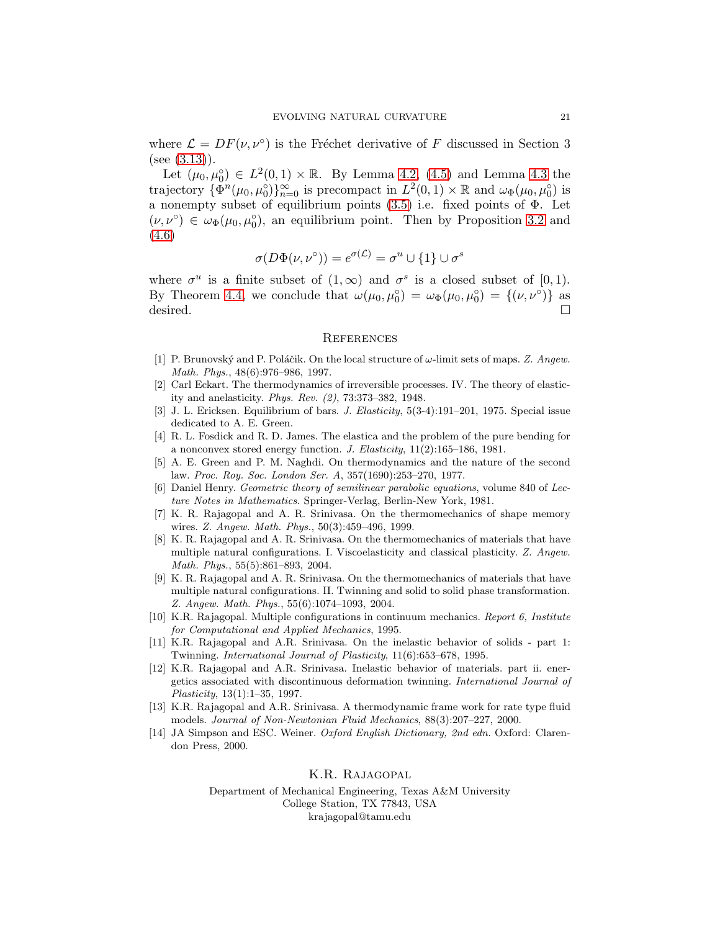where  $\mathcal{L} = DF(\nu, \nu^{\circ})$  is the Fréchet derivative of F discussed in Section 3  $(see (3.13)).$  $(see (3.13)).$  $(see (3.13)).$ 

Let  $(\mu_0, \mu_0^{\circ}) \in L^2(0,1) \times \mathbb{R}$ . By Lemma [4.2,](#page-16-0) [\(4.5\)](#page-19-1) and Lemma [4.3](#page-17-0) the trajectory  $\{\Phi^n(\mu_0, \mu_0^{\circ})\}_{n=0}^{\infty}$  is precompact in  $L^2(0, 1) \times \mathbb{R}$  and  $\omega_{\Phi}(\mu_0, \mu_0^{\circ})$  is a nonempty subset of equilibrium points  $(3.5)$  i.e. fixed points of  $\Phi$ . Let  $(\nu, \nu^{\circ}) \in \omega_{\Phi}(\mu_0, \mu_0^{\circ}),$  an equilibrium point. Then by Proposition [3.2](#page-13-0) and [\(4.6\)](#page-19-2)

$$
\sigma(D\Phi(\nu, \nu^{\circ})) = e^{\sigma(\mathcal{L})} = \sigma^u \cup \{1\} \cup \sigma^s
$$

where  $\sigma^u$  is a finite subset of  $(1,\infty)$  and  $\sigma^s$  is a closed subset of  $[0,1)$ . By Theorem [4.4,](#page-18-0) we conclude that  $\omega(\mu_0, \mu_0^{\circ}) = \omega_{\Phi}(\mu_0, \mu_0^{\circ}) = \{(\nu, \nu^{\circ})\}$  as desired.

#### **REFERENCES**

- <span id="page-20-13"></span>[1] P. Brunovský and P. Poláčik. On the local structure of  $\omega$ -limit sets of maps. Z. Angew. Math. Phys., 48(6):976–986, 1997.
- <span id="page-20-4"></span>[2] Carl Eckart. The thermodynamics of irreversible processes. IV. The theory of elasticity and anelasticity. Phys. Rev. (2), 73:373–382, 1948.
- <span id="page-20-1"></span><span id="page-20-0"></span>[3] J. L. Ericksen. Equilibrium of bars. J. Elasticity, 5(3-4):191–201, 1975. Special issue dedicated to A. E. Green.
- [4] R. L. Fosdick and R. D. James. The elastica and the problem of the pure bending for a nonconvex stored energy function. J. Elasticity, 11(2):165–186, 1981.
- <span id="page-20-10"></span>[5] A. E. Green and P. M. Naghdi. On thermodynamics and the nature of the second law. Proc. Roy. Soc. London Ser. A, 357(1690):253–270, 1977.
- <span id="page-20-12"></span>[6] Daniel Henry. Geometric theory of semilinear parabolic equations, volume 840 of Lecture Notes in Mathematics. Springer-Verlag, Berlin-New York, 1981.
- <span id="page-20-8"></span>[7] K. R. Rajagopal and A. R. Srinivasa. On the thermomechanics of shape memory wires. Z. Angew. Math. Phys., 50(3):459–496, 1999.
- <span id="page-20-2"></span>[8] K. R. Rajagopal and A. R. Srinivasa. On the thermomechanics of materials that have multiple natural configurations. I. Viscoelasticity and classical plasticity. Z. Angew. Math. Phys., 55(5):861–893, 2004.
- <span id="page-20-9"></span>[9] K. R. Rajagopal and A. R. Srinivasa. On the thermomechanics of materials that have multiple natural configurations. II. Twinning and solid to solid phase transformation. Z. Angew. Math. Phys., 55(6):1074–1093, 2004.
- <span id="page-20-5"></span>[10] K.R. Rajagopal. Multiple configurations in continuum mechanics. Report 6, Institute for Computational and Applied Mechanics, 1995.
- <span id="page-20-6"></span>[11] K.R. Rajagopal and A.R. Srinivasa. On the inelastic behavior of solids - part 1: Twinning. International Journal of Plasticity, 11(6):653–678, 1995.
- <span id="page-20-7"></span>[12] K.R. Rajagopal and A.R. Srinivasa. Inelastic behavior of materials. part ii. energetics associated with discontinuous deformation twinning. International Journal of Plasticity, 13(1):1–35, 1997.
- <span id="page-20-11"></span>[13] K.R. Rajagopal and A.R. Srinivasa. A thermodynamic frame work for rate type fluid models. Journal of Non-Newtonian Fluid Mechanics, 88(3):207–227, 2000.
- <span id="page-20-3"></span>[14] JA Simpson and ESC. Weiner. Oxford English Dictionary, 2nd edn. Oxford: Clarendon Press, 2000.

## K.R. Rajagopal

Department of Mechanical Engineering, Texas A&M University College Station, TX 77843, USA krajagopal@tamu.edu